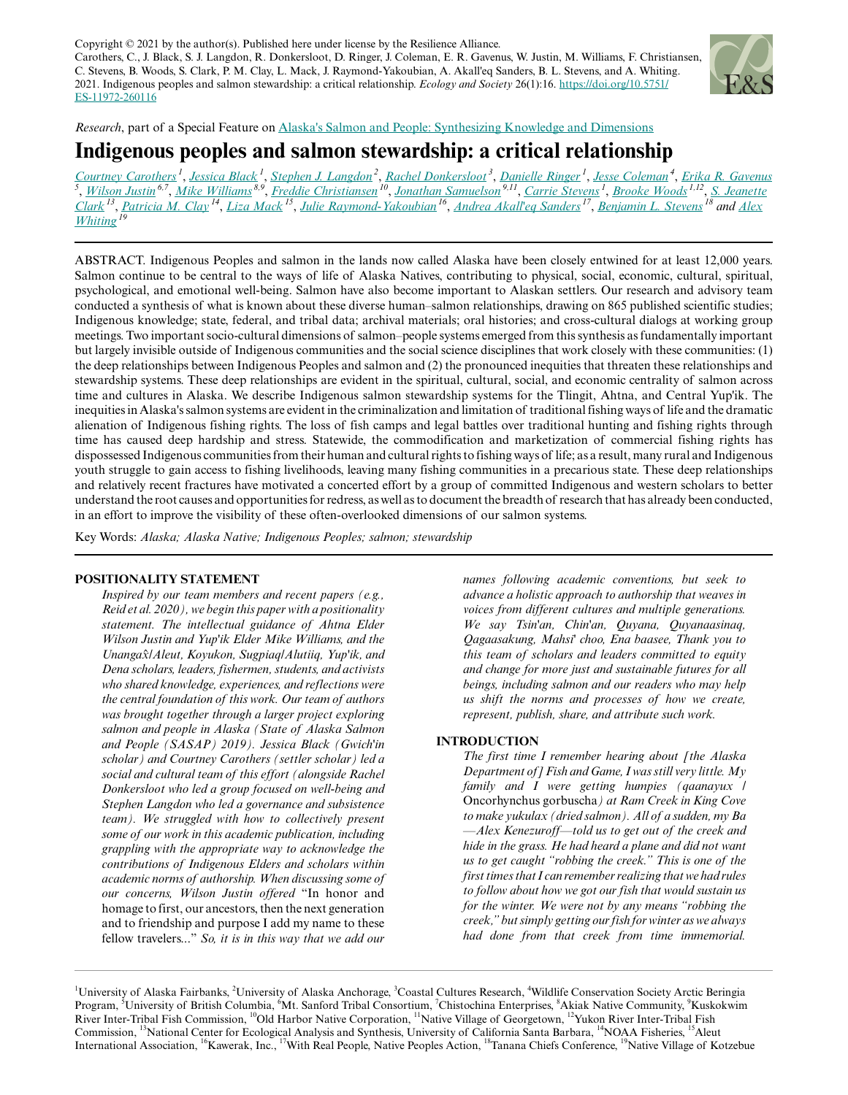Copyright  $© 2021$  by the author(s). Published here under license by the Resilience Alliance. Carothers, C., J. Black, S. J. Langdon, R. Donkersloot, D. Ringer, J. Coleman, E. R. Gavenus, W. Justin, M. Williams, F. Christiansen, C. Stevens, B. Woods, S. Clark, P. M. Clay, L. Mack, J. Raymond-Yakoubian, A. Akall'eq Sanders, B. L. Stevens, and A. Whiting. 2021. Indigenous peoples and salmon stewardship: a critical relationship. *Ecology and Society* 26(1):16. [https://doi.org/10.5751/](https://doi.org/10.5751/ES-11972-260116) [ES-11972-260116](https://doi.org/10.5751/ES-11972-260116)



*Research*, part of a Special Feature on [Alaska's Salmon and People: Synthesizing Knowledge and Dimensions](https://www.ecologyandsociety.org/viewissue.php?sf=139)

# **Indigenous peoples and salmon stewardship: a critical relationship**

[Courtney Carothers](mailto:clcarothers@alaska.edu)<sup>1</sup>, [Jessica Black](mailto:jcblack@alaska.edu)<sup>1</sup>, [Stephen J. Langdon](mailto:sjlangdon@alaska.edu)<sup>2</sup>, [Rachel Donkersloot](mailto:rachel@coastalculturesresearch.com)<sup>3</sup>, [Danielle Ringer](mailto:djringer@alaska.edu)<sup>1</sup>, [Jesse Coleman](mailto:jcoleman@wcs.org)<sup>4</sup>, [Erika R. Gavenus](mailto:egavenus@gmail.com)<br><sup>5</sup>, [Wilson Justin](mailto:epic.spook@icloud.com)<sup>6,7</sup>, [Mike Williams](mailto:mwilliams19522004@yahoo.com)<sup>8,9</sup>, [Freddie Christiansen](mailto:fcolh@yahoo.com)<sup>10</sup>, Jonathan <u>[Clark](mailto:jclark@nceas.ucsb.edu) <sup>13</sup>, [Patricia M. Clay](mailto:Patricia.M.Clay@noaa.gov) <sup>14</sup>, [Liza Mack](mailto:liza.mack@aleut-international.org) <sup>15</sup>, [Julie Raymond-Yakoubian](mailto:juliery@kawerak.org) <sup>16</sup>, [Andrea Akall'eq Sanders](mailto:akalleq@gmail.com) <sup>17</sup>, <u>[Benjamin L. Stevens](mailto:Benjamin.Stevens@tananachiefs.org)</u> <sup>18</sup> and <u>[Alex](mailto:alex.whiting@qira.org)</u></u> *[Whiting](mailto:alex.whiting@qira.org)<sup>19</sup>*

ABSTRACT. Indigenous Peoples and salmon in the lands now called Alaska have been closely entwined for at least 12,000 years. Salmon continue to be central to the ways of life of Alaska Natives, contributing to physical, social, economic, cultural, spiritual, psychological, and emotional well-being. Salmon have also become important to Alaskan settlers. Our research and advisory team conducted a synthesis of what is known about these diverse human–salmon relationships, drawing on 865 published scientific studies; Indigenous knowledge; state, federal, and tribal data; archival materials; oral histories; and cross-cultural dialogs at working group meetings. Two important socio-cultural dimensions of salmon–people systems emerged from this synthesis as fundamentally important but largely invisible outside of Indigenous communities and the social science disciplines that work closely with these communities: (1) the deep relationships between Indigenous Peoples and salmon and (2) the pronounced inequities that threaten these relationships and stewardship systems. These deep relationships are evident in the spiritual, cultural, social, and economic centrality of salmon across time and cultures in Alaska. We describe Indigenous salmon stewardship systems for the Tlingit, Ahtna, and Central Yup'ik. The inequities in Alaska's salmon systems are evident in the criminalization and limitation of traditional fishing ways of life and the dramatic alienation of Indigenous fishing rights. The loss of fish camps and legal battles over traditional hunting and fishing rights through time has caused deep hardship and stress. Statewide, the commodification and marketization of commercial fishing rights has dispossessed Indigenous communities from their human and cultural rights to fishing ways of life; as a result, many rural and Indigenous youth struggle to gain access to fishing livelihoods, leaving many fishing communities in a precarious state. These deep relationships and relatively recent fractures have motivated a concerted effort by a group of committed Indigenous and western scholars to better understand the root causes and opportunities for redress, as well as to document the breadth of research that has already been conducted, in an effort to improve the visibility of these often-overlooked dimensions of our salmon systems.

Key Words: *Alaska; Alaska Native; Indigenous Peoples; salmon; stewardship*

#### **POSITIONALITY STATEMENT**

*Inspired by our team members and recent papers (e.g., Reid et al. 2020), we begin this paper with a positionality statement. The intellectual guidance of Ahtna Elder Wilson Justin and Yup'ik Elder Mike Williams, and the Unangax*̂*/Aleut, Koyukon, Sugpiaq/Alutiiq, Yup'ik, and Dena scholars, leaders, fishermen, students, and activists who shared knowledge, experiences, and reflections were the central foundation of this work. Our team of authors was brought together through a larger project exploring salmon and people in Alaska (State of Alaska Salmon and People (SASAP) 2019). Jessica Black (Gwich'in scholar) and Courtney Carothers (settler scholar) led a social and cultural team of this effort (alongside Rachel Donkersloot who led a group focused on well-being and Stephen Langdon who led a governance and subsistence team). We struggled with how to collectively present some of our work in this academic publication, including grappling with the appropriate way to acknowledge the contributions of Indigenous Elders and scholars within academic norms of authorship. When discussing some of our concerns, Wilson Justin offered* "In honor and homage to first, our ancestors, then the next generation and to friendship and purpose I add my name to these fellow travelers..." *So, it is in this way that we add our*

*names following academic conventions, but seek to advance a holistic approach to authorship that weaves in voices from different cultures and multiple generations. We say Tsin'an, Chin'an, Quyana, Quyanaasinaq, Qagaasakung, Mahsi' choo, Ena baasee, Thank you to this team of scholars and leaders committed to equity and change for more just and sustainable futures for all beings, including salmon and our readers who may help us shift the norms and processes of how we create, represent, publish, share, and attribute such work.*

# **INTRODUCTION**

*The first time I remember hearing about [the Alaska Department of] Fish and Game, I was still very little. My family and I were getting humpies (qaanayux /* Oncorhynchus gorbuscha*) at Ram Creek in King Cove to make yukulax (dried salmon). All of a sudden, my Ba —Alex Kenezuroff—told us to get out of the creek and hide in the grass. He had heard a plane and did not want us to get caught "robbing the creek." This is one of the first times that I can remember realizing that we had rules to follow about how we got our fish that would sustain us for the winter. We were not by any means "robbing the creek," but simply getting our fish for winter as we always had done from that creek from time immemorial.*

<sup>&</sup>lt;sup>1</sup>University of Alaska Fairbanks, <sup>2</sup>University of Alaska Anchorage, <sup>3</sup>Coastal Cultures Research, <sup>4</sup>Wildlife Conservation Society Arctic Beringia Program, <sup>5</sup>University of British Columbia, <sup>6</sup>Mt. Sanford Tribal Consortium, <sup>7</sup>Chistochina Enterprises, <sup>8</sup>Akiak Native Community, <sup>9</sup>Kuskokwim River Inter-Tribal Fish Commission, <sup>10</sup>Old Harbor Native Corporation, <sup>11</sup>Native Village of Georgetown, <sup>12</sup>Yukon River Inter-Tribal Fish Commission, <sup>13</sup>National Center for Ecological Analysis and Synthesis, University of California Santa Barbara, <sup>14</sup>NOAA Fisheries, <sup>15</sup>Aleut International Association, <sup>16</sup>Kawerak, Inc., <sup>17</sup>With Real People, Native Peoples Action, <sup>18</sup>Tanana Chiefs Conference, <sup>19</sup>Native Village of Kotzebue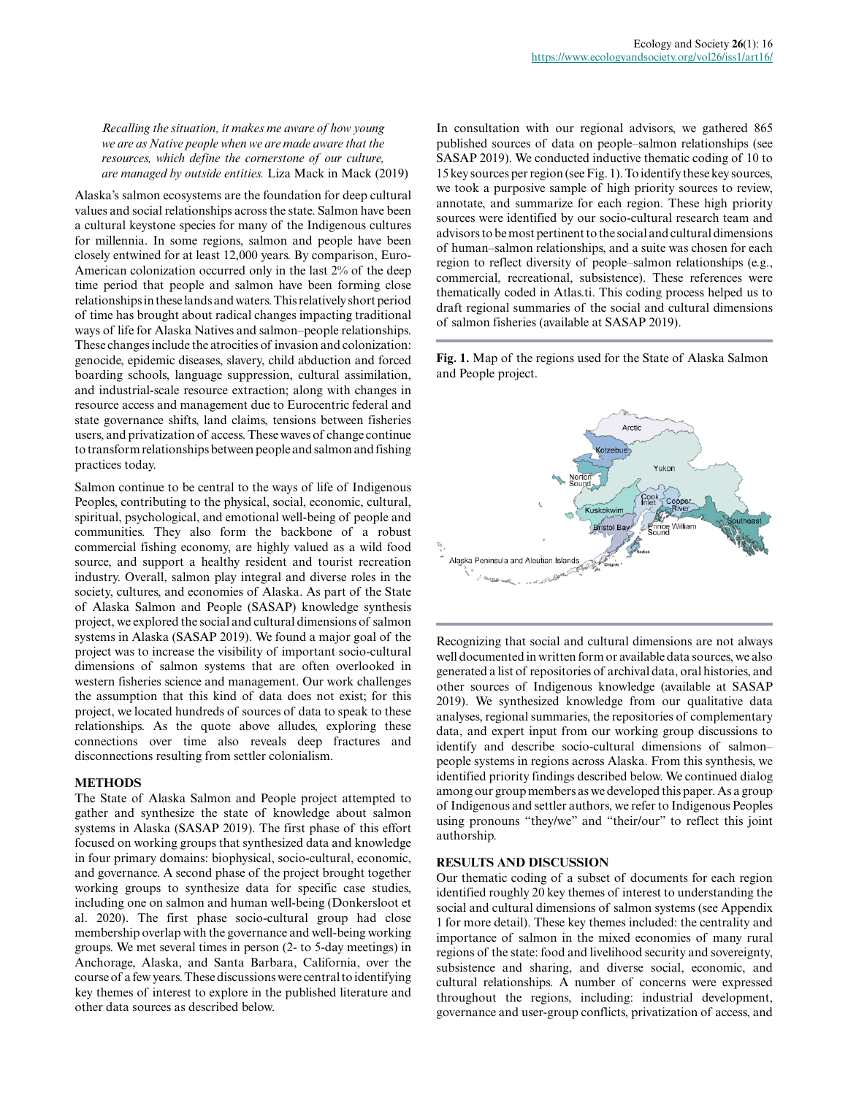*Recalling the situation, it makes me aware of how young we are as Native people when we are made aware that the resources, which define the cornerstone of our culture, are managed by outside entities.* Liza Mack in Mack (2019)

Alaska's salmon ecosystems are the foundation for deep cultural values and social relationships across the state. Salmon have been a cultural keystone species for many of the Indigenous cultures for millennia. In some regions, salmon and people have been closely entwined for at least 12,000 years. By comparison, Euro-American colonization occurred only in the last 2% of the deep time period that people and salmon have been forming close relationships in these lands and waters. This relatively short period of time has brought about radical changes impacting traditional ways of life for Alaska Natives and salmon–people relationships. These changes include the atrocities of invasion and colonization: genocide, epidemic diseases, slavery, child abduction and forced boarding schools, language suppression, cultural assimilation, and industrial-scale resource extraction; along with changes in resource access and management due to Eurocentric federal and state governance shifts, land claims, tensions between fisheries users, and privatization of access. These waves of change continue to transform relationships between people and salmon and fishing practices today.

Salmon continue to be central to the ways of life of Indigenous Peoples, contributing to the physical, social, economic, cultural, spiritual, psychological, and emotional well-being of people and communities. They also form the backbone of a robust commercial fishing economy, are highly valued as a wild food source, and support a healthy resident and tourist recreation industry. Overall, salmon play integral and diverse roles in the society, cultures, and economies of Alaska. As part of the State of Alaska Salmon and People (SASAP) knowledge synthesis project, we explored the social and cultural dimensions of salmon systems in Alaska (SASAP 2019). We found a major goal of the project was to increase the visibility of important socio-cultural dimensions of salmon systems that are often overlooked in western fisheries science and management. Our work challenges the assumption that this kind of data does not exist; for this project, we located hundreds of sources of data to speak to these relationships. As the quote above alludes, exploring these connections over time also reveals deep fractures and disconnections resulting from settler colonialism.

### **METHODS**

The State of Alaska Salmon and People project attempted to gather and synthesize the state of knowledge about salmon systems in Alaska (SASAP 2019). The first phase of this effort focused on working groups that synthesized data and knowledge in four primary domains: biophysical, socio-cultural, economic, and governance. A second phase of the project brought together working groups to synthesize data for specific case studies, including one on salmon and human well-being (Donkersloot et al. 2020). The first phase socio-cultural group had close membership overlap with the governance and well-being working groups. We met several times in person (2- to 5-day meetings) in Anchorage, Alaska, and Santa Barbara, California, over the course of a few years. These discussions were central to identifying key themes of interest to explore in the published literature and other data sources as described below.

In consultation with our regional advisors, we gathered 865 published sources of data on people–salmon relationships (see SASAP 2019). We conducted inductive thematic coding of 10 to 15 key sources per region (see Fig. 1). To identify these key sources, we took a purposive sample of high priority sources to review, annotate, and summarize for each region. These high priority sources were identified by our socio-cultural research team and advisors to be most pertinent to the social and cultural dimensions of human–salmon relationships, and a suite was chosen for each region to reflect diversity of people–salmon relationships (e.g., commercial, recreational, subsistence). These references were thematically coded in Atlas.ti. This coding process helped us to draft regional summaries of the social and cultural dimensions of salmon fisheries (available at SASAP 2019).

**Fig. 1.** Map of the regions used for the State of Alaska Salmon and People project.



Recognizing that social and cultural dimensions are not always well documented in written form or available data sources, we also generated a list of repositories of archival data, oral histories, and other sources of Indigenous knowledge (available at SASAP 2019). We synthesized knowledge from our qualitative data analyses, regional summaries, the repositories of complementary data, and expert input from our working group discussions to identify and describe socio-cultural dimensions of salmon– people systems in regions across Alaska. From this synthesis, we identified priority findings described below. We continued dialog among our group members as we developed this paper. As a group of Indigenous and settler authors, we refer to Indigenous Peoples using pronouns "they/we" and "their/our" to reflect this joint authorship.

#### **RESULTS AND DISCUSSION**

Our thematic coding of a subset of documents for each region identified roughly 20 key themes of interest to understanding the social and cultural dimensions of salmon systems (see Appendix 1 for more detail). These key themes included: the centrality and importance of salmon in the mixed economies of many rural regions of the state: food and livelihood security and sovereignty, subsistence and sharing, and diverse social, economic, and cultural relationships. A number of concerns were expressed throughout the regions, including: industrial development, governance and user-group conflicts, privatization of access, and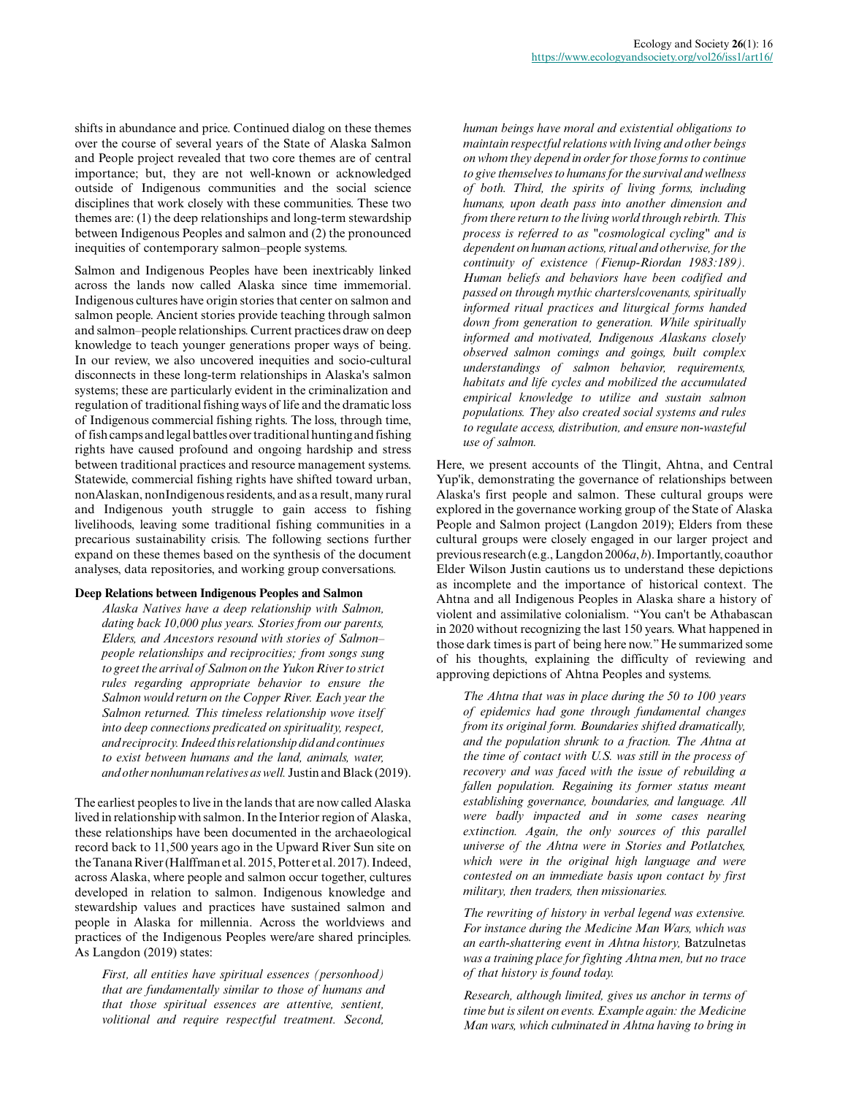shifts in abundance and price. Continued dialog on these themes over the course of several years of the State of Alaska Salmon and People project revealed that two core themes are of central importance; but, they are not well-known or acknowledged outside of Indigenous communities and the social science disciplines that work closely with these communities. These two themes are: (1) the deep relationships and long-term stewardship between Indigenous Peoples and salmon and (2) the pronounced inequities of contemporary salmon–people systems.

Salmon and Indigenous Peoples have been inextricably linked across the lands now called Alaska since time immemorial. Indigenous cultures have origin stories that center on salmon and salmon people. Ancient stories provide teaching through salmon and salmon–people relationships. Current practices draw on deep knowledge to teach younger generations proper ways of being. In our review, we also uncovered inequities and socio-cultural disconnects in these long-term relationships in Alaska's salmon systems; these are particularly evident in the criminalization and regulation of traditional fishing ways of life and the dramatic loss of Indigenous commercial fishing rights. The loss, through time, of fish camps and legal battles over traditional hunting and fishing rights have caused profound and ongoing hardship and stress between traditional practices and resource management systems. Statewide, commercial fishing rights have shifted toward urban, nonAlaskan, nonIndigenous residents, and as a result, many rural and Indigenous youth struggle to gain access to fishing livelihoods, leaving some traditional fishing communities in a precarious sustainability crisis. The following sections further expand on these themes based on the synthesis of the document analyses, data repositories, and working group conversations.

#### **Deep Relations between Indigenous Peoples and Salmon**

*Alaska Natives have a deep relationship with Salmon, dating back 10,000 plus years. Stories from our parents, Elders, and Ancestors resound with stories of Salmon– people relationships and reciprocities; from songs sung to greet the arrival of Salmon on the Yukon River to strict rules regarding appropriate behavior to ensure the Salmon would return on the Copper River. Each year the Salmon returned. This timeless relationship wove itself into deep connections predicated on spirituality, respect, and reciprocity. Indeed this relationship did and continues to exist between humans and the land, animals, water, and other nonhuman relatives as well.* Justin and Black (2019).

The earliest peoples to live in the lands that are now called Alaska lived in relationship with salmon. In the Interior region of Alaska, these relationships have been documented in the archaeological record back to 11,500 years ago in the Upward River Sun site on the Tanana River (Halffman et al. 2015, Potter et al. 2017). Indeed, across Alaska, where people and salmon occur together, cultures developed in relation to salmon. Indigenous knowledge and stewardship values and practices have sustained salmon and people in Alaska for millennia. Across the worldviews and practices of the Indigenous Peoples were/are shared principles. As Langdon (2019) states:

*First, all entities have spiritual essences (personhood) that are fundamentally similar to those of humans and that those spiritual essences are attentive, sentient, volitional and require respectful treatment. Second,*

*human beings have moral and existential obligations to maintain respectful relations with living and other beings on whom they depend in order for those forms to continue to give themselves to humans for the survival and wellness of both. Third, the spirits of living forms, including humans, upon death pass into another dimension and from there return to the living world through rebirth. This process is referred to as "cosmological cycling" and is dependent on human actions, ritual and otherwise, for the continuity of existence (Fienup-Riordan 1983:189). Human beliefs and behaviors have been codified and passed on through mythic charters/covenants, spiritually informed ritual practices and liturgical forms handed down from generation to generation. While spiritually informed and motivated, Indigenous Alaskans closely observed salmon comings and goings, built complex understandings of salmon behavior, requirements, habitats and life cycles and mobilized the accumulated empirical knowledge to utilize and sustain salmon populations. They also created social systems and rules to regulate access, distribution, and ensure non-wasteful use of salmon.*

Here, we present accounts of the Tlingit, Ahtna, and Central Yup'ik, demonstrating the governance of relationships between Alaska's first people and salmon. These cultural groups were explored in the governance working group of the State of Alaska People and Salmon project (Langdon 2019); Elders from these cultural groups were closely engaged in our larger project and previous research (e.g., Langdon 2006*a*, *b*). Importantly, coauthor Elder Wilson Justin cautions us to understand these depictions as incomplete and the importance of historical context. The Ahtna and all Indigenous Peoples in Alaska share a history of violent and assimilative colonialism. "You can't be Athabascan in 2020 without recognizing the last 150 years. What happened in those dark times is part of being here now." He summarized some of his thoughts, explaining the difficulty of reviewing and approving depictions of Ahtna Peoples and systems.

*The Ahtna that was in place during the 50 to 100 years of epidemics had gone through fundamental changes from its original form. Boundaries shifted dramatically, and the population shrunk to a fraction. The Ahtna at the time of contact with U.S. was still in the process of recovery and was faced with the issue of rebuilding a fallen population. Regaining its former status meant establishing governance, boundaries, and language. All were badly impacted and in some cases nearing extinction. Again, the only sources of this parallel universe of the Ahtna were in Stories and Potlatches, which were in the original high language and were contested on an immediate basis upon contact by first military, then traders, then missionaries.*

*The rewriting of history in verbal legend was extensive. For instance during the Medicine Man Wars, which was an earth-shattering event in Ahtna history,* Batzulnetas *was a training place for fighting Ahtna men, but no trace of that history is found today.*

*Research, although limited, gives us anchor in terms of time but is silent on events. Example again: the Medicine Man wars, which culminated in Ahtna having to bring in*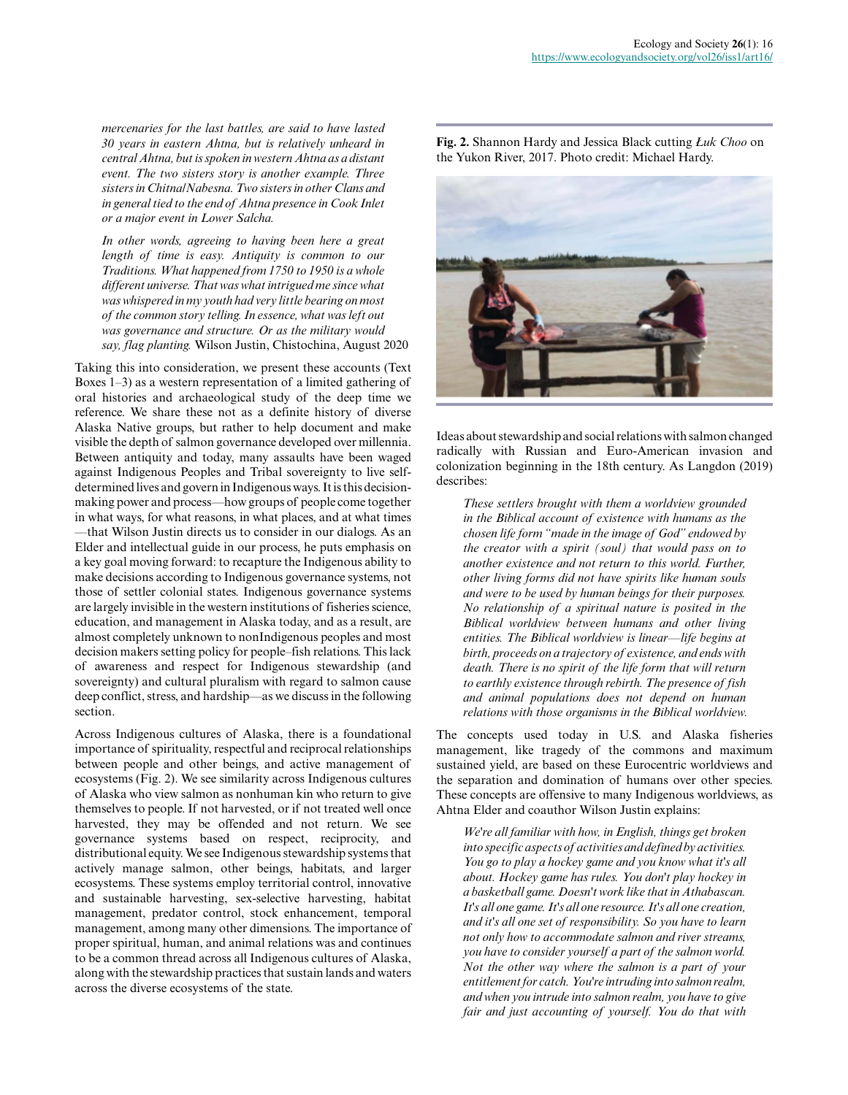*mercenaries for the last battles, are said to have lasted 30 years in eastern Ahtna, but is relatively unheard in central Ahtna, but is spoken in western Ahtna as a distant event. The two sisters story is another example. Three sisters in Chitna/Nabesna. Two sisters in other Clans and in general tied to the end of Ahtna presence in Cook Inlet or a major event in Lower Salcha.*

*In other words, agreeing to having been here a great length of time is easy. Antiquity is common to our Traditions. What happened from 1750 to 1950 is a whole different universe. That was what intrigued me since what was whispered in my youth had very little bearing on most of the common story telling. In essence, what was left out was governance and structure. Or as the military would say, flag planting.* Wilson Justin, Chistochina, August 2020

Taking this into consideration, we present these accounts (Text Boxes 1–3) as a western representation of a limited gathering of oral histories and archaeological study of the deep time we reference. We share these not as a definite history of diverse Alaska Native groups, but rather to help document and make visible the depth of salmon governance developed over millennia. Between antiquity and today, many assaults have been waged against Indigenous Peoples and Tribal sovereignty to live selfdetermined lives and govern in Indigenous ways. It is this decisionmaking power and process—how groups of people come together in what ways, for what reasons, in what places, and at what times —that Wilson Justin directs us to consider in our dialogs. As an Elder and intellectual guide in our process, he puts emphasis on a key goal moving forward: to recapture the Indigenous ability to make decisions according to Indigenous governance systems, not those of settler colonial states. Indigenous governance systems are largely invisible in the western institutions of fisheries science, education, and management in Alaska today, and as a result, are almost completely unknown to nonIndigenous peoples and most decision makers setting policy for people–fish relations. This lack of awareness and respect for Indigenous stewardship (and sovereignty) and cultural pluralism with regard to salmon cause deep conflict, stress, and hardship—as we discuss in the following section.

Across Indigenous cultures of Alaska, there is a foundational importance of spirituality, respectful and reciprocal relationships between people and other beings, and active management of ecosystems (Fig. 2). We see similarity across Indigenous cultures of Alaska who view salmon as nonhuman kin who return to give themselves to people. If not harvested, or if not treated well once harvested, they may be offended and not return. We see governance systems based on respect, reciprocity, and distributional equity. We see Indigenous stewardship systems that actively manage salmon, other beings, habitats, and larger ecosystems. These systems employ territorial control, innovative and sustainable harvesting, sex-selective harvesting, habitat management, predator control, stock enhancement, temporal management, among many other dimensions. The importance of proper spiritual, human, and animal relations was and continues to be a common thread across all Indigenous cultures of Alaska, along with the stewardship practices that sustain lands and waters across the diverse ecosystems of the state.

**Fig. 2.** Shannon Hardy and Jessica Black cutting *Łuk Choo* on the Yukon River, 2017. Photo credit: Michael Hardy.



Ideas about stewardship and social relations with salmon changed radically with Russian and Euro-American invasion and colonization beginning in the 18th century. As Langdon (2019) describes:

*These settlers brought with them a worldview grounded in the Biblical account of existence with humans as the chosen life form "made in the image of God" endowed by the creator with a spirit (soul) that would pass on to another existence and not return to this world. Further, other living forms did not have spirits like human souls and were to be used by human beings for their purposes. No relationship of a spiritual nature is posited in the Biblical worldview between humans and other living entities. The Biblical worldview is linear—life begins at birth, proceeds on a trajectory of existence, and ends with death. There is no spirit of the life form that will return to earthly existence through rebirth. The presence of fish and animal populations does not depend on human relations with those organisms in the Biblical worldview.*

The concepts used today in U.S. and Alaska fisheries management, like tragedy of the commons and maximum sustained yield, are based on these Eurocentric worldviews and the separation and domination of humans over other species. These concepts are offensive to many Indigenous worldviews, as Ahtna Elder and coauthor Wilson Justin explains:

*We're all familiar with how, in English, things get broken into specific aspects of activities and defined by activities. You go to play a hockey game and you know what it's all about. Hockey game has rules. You don't play hockey in a basketball game. Doesn't work like that in Athabascan. It's all one game. It's all one resource. It's all one creation, and it's all one set of responsibility. So you have to learn not only how to accommodate salmon and river streams, you have to consider yourself a part of the salmon world. Not the other way where the salmon is a part of your entitlement for catch. You're intruding into salmon realm, and when you intrude into salmon realm, you have to give fair and just accounting of yourself. You do that with*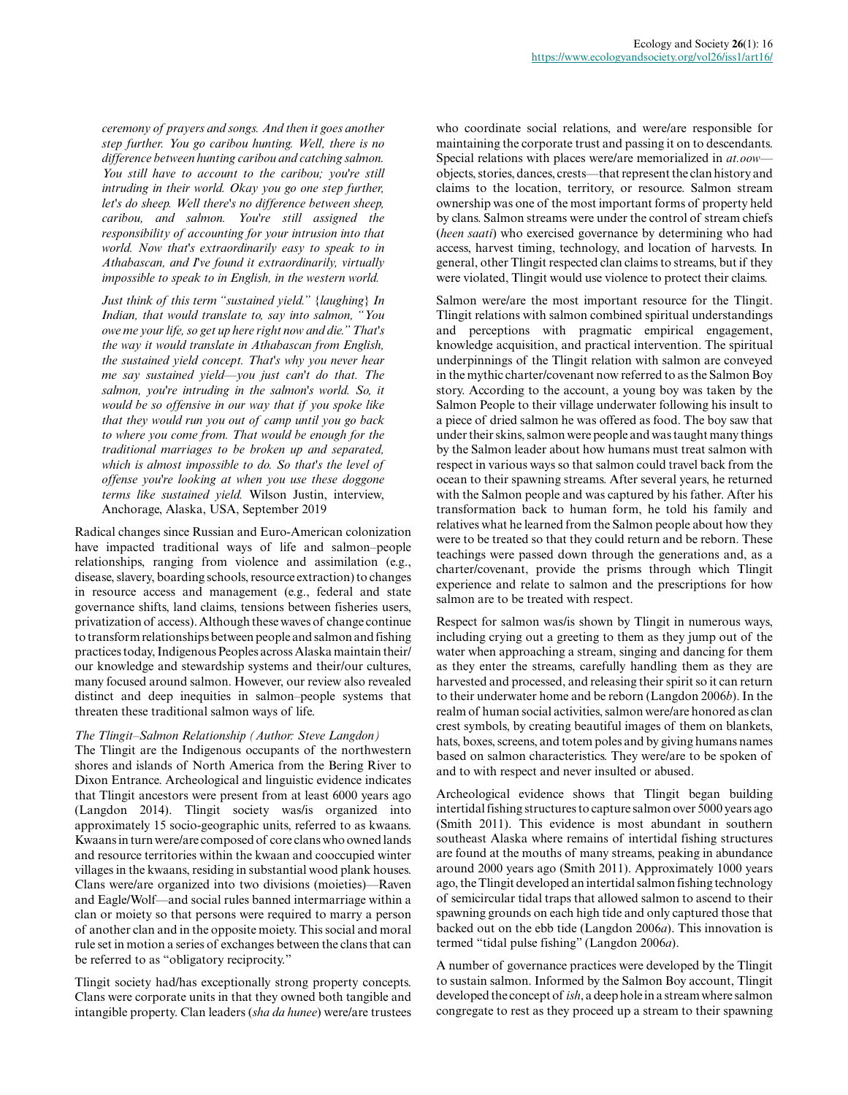*ceremony of prayers and songs. And then it goes another step further. You go caribou hunting. Well, there is no difference between hunting caribou and catching salmon. You still have to account to the caribou; you're still intruding in their world. Okay you go one step further, let's do sheep. Well there's no difference between sheep, caribou, and salmon. You're still assigned the responsibility of accounting for your intrusion into that world. Now that's extraordinarily easy to speak to in Athabascan, and I've found it extraordinarily, virtually impossible to speak to in English, in the western world.*

*Just think of this term "sustained yield." {laughing} In Indian, that would translate to, say into salmon, "You owe me your life, so get up here right now and die." That's the way it would translate in Athabascan from English, the sustained yield concept. That's why you never hear me say sustained yield—you just can't do that. The salmon, you're intruding in the salmon's world. So, it would be so offensive in our way that if you spoke like that they would run you out of camp until you go back to where you come from. That would be enough for the traditional marriages to be broken up and separated, which is almost impossible to do. So that's the level of offense you're looking at when you use these doggone terms like sustained yield.* Wilson Justin, interview, Anchorage, Alaska, USA, September 2019

Radical changes since Russian and Euro-American colonization have impacted traditional ways of life and salmon–people relationships, ranging from violence and assimilation (e.g., disease, slavery, boarding schools, resource extraction) to changes in resource access and management (e.g., federal and state governance shifts, land claims, tensions between fisheries users, privatization of access). Although these waves of change continue to transform relationships between people and salmon and fishing practices today, Indigenous Peoples across Alaska maintain their/ our knowledge and stewardship systems and their/our cultures, many focused around salmon. However, our review also revealed distinct and deep inequities in salmon–people systems that threaten these traditional salmon ways of life.

#### *The Tlingit–Salmon Relationship (Author: Steve Langdon)*

The Tlingit are the Indigenous occupants of the northwestern shores and islands of North America from the Bering River to Dixon Entrance. Archeological and linguistic evidence indicates that Tlingit ancestors were present from at least 6000 years ago (Langdon 2014). Tlingit society was/is organized into approximately 15 socio-geographic units, referred to as kwaans. Kwaans in turn were/are composed of core clans who owned lands and resource territories within the kwaan and cooccupied winter villages in the kwaans, residing in substantial wood plank houses. Clans were/are organized into two divisions (moieties)—Raven and Eagle/Wolf—and social rules banned intermarriage within a clan or moiety so that persons were required to marry a person of another clan and in the opposite moiety. This social and moral rule set in motion a series of exchanges between the clans that can be referred to as "obligatory reciprocity."

Tlingit society had/has exceptionally strong property concepts. Clans were corporate units in that they owned both tangible and intangible property. Clan leaders (*sha da hunee*) were/are trustees who coordinate social relations, and were/are responsible for maintaining the corporate trust and passing it on to descendants. Special relations with places were/are memorialized in *at.oow* objects, stories, dances, crests—that represent the clan history and claims to the location, territory, or resource. Salmon stream ownership was one of the most important forms of property held by clans. Salmon streams were under the control of stream chiefs (*heen saati*) who exercised governance by determining who had access, harvest timing, technology, and location of harvests. In general, other Tlingit respected clan claims to streams, but if they were violated, Tlingit would use violence to protect their claims.

Salmon were/are the most important resource for the Tlingit. Tlingit relations with salmon combined spiritual understandings and perceptions with pragmatic empirical engagement, knowledge acquisition, and practical intervention. The spiritual underpinnings of the Tlingit relation with salmon are conveyed in the mythic charter/covenant now referred to as the Salmon Boy story. According to the account, a young boy was taken by the Salmon People to their village underwater following his insult to a piece of dried salmon he was offered as food. The boy saw that under their skins, salmon were people and was taught many things by the Salmon leader about how humans must treat salmon with respect in various ways so that salmon could travel back from the ocean to their spawning streams. After several years, he returned with the Salmon people and was captured by his father. After his transformation back to human form, he told his family and relatives what he learned from the Salmon people about how they were to be treated so that they could return and be reborn. These teachings were passed down through the generations and, as a charter/covenant, provide the prisms through which Tlingit experience and relate to salmon and the prescriptions for how salmon are to be treated with respect.

Respect for salmon was/is shown by Tlingit in numerous ways, including crying out a greeting to them as they jump out of the water when approaching a stream, singing and dancing for them as they enter the streams, carefully handling them as they are harvested and processed, and releasing their spirit so it can return to their underwater home and be reborn (Langdon 2006*b*). In the realm of human social activities, salmon were/are honored as clan crest symbols, by creating beautiful images of them on blankets, hats, boxes, screens, and totem poles and by giving humans names based on salmon characteristics. They were/are to be spoken of and to with respect and never insulted or abused.

Archeological evidence shows that Tlingit began building intertidal fishing structures to capture salmon over 5000 years ago (Smith 2011). This evidence is most abundant in southern southeast Alaska where remains of intertidal fishing structures are found at the mouths of many streams, peaking in abundance around 2000 years ago (Smith 2011). Approximately 1000 years ago, the Tlingit developed an intertidal salmon fishing technology of semicircular tidal traps that allowed salmon to ascend to their spawning grounds on each high tide and only captured those that backed out on the ebb tide (Langdon 2006*a*). This innovation is termed "tidal pulse fishing" (Langdon 2006*a*).

A number of governance practices were developed by the Tlingit to sustain salmon. Informed by the Salmon Boy account, Tlingit developed the concept of *ish*, a deep hole in a stream where salmon congregate to rest as they proceed up a stream to their spawning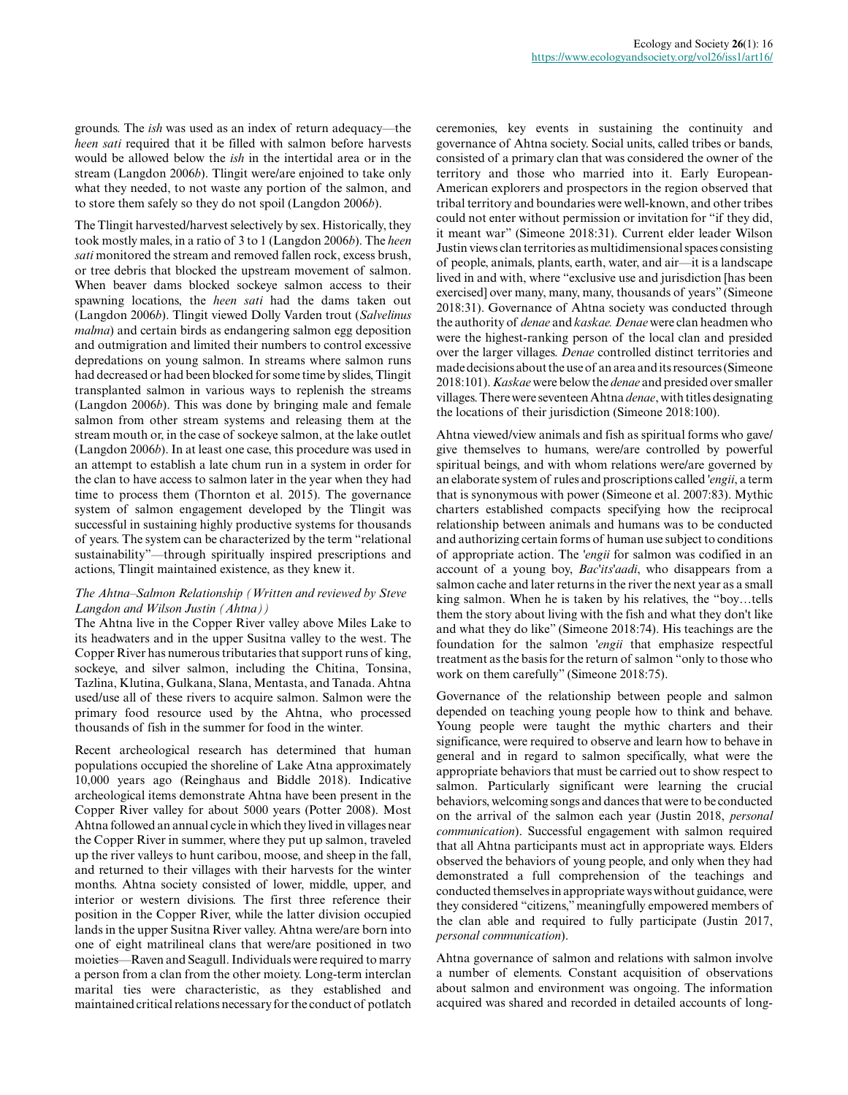grounds. The *ish* was used as an index of return adequacy—the *heen sati* required that it be filled with salmon before harvests would be allowed below the *ish* in the intertidal area or in the stream (Langdon 2006*b*). Tlingit were/are enjoined to take only what they needed, to not waste any portion of the salmon, and to store them safely so they do not spoil (Langdon 2006*b*).

The Tlingit harvested/harvest selectively by sex. Historically, they took mostly males, in a ratio of 3 to 1 (Langdon 2006*b*). The *heen sati* monitored the stream and removed fallen rock, excess brush, or tree debris that blocked the upstream movement of salmon. When beaver dams blocked sockeye salmon access to their spawning locations, the *heen sati* had the dams taken out (Langdon 2006*b*). Tlingit viewed Dolly Varden trout (*Salvelinus malma*) and certain birds as endangering salmon egg deposition and outmigration and limited their numbers to control excessive depredations on young salmon. In streams where salmon runs had decreased or had been blocked for some time by slides, Tlingit transplanted salmon in various ways to replenish the streams (Langdon 2006*b*). This was done by bringing male and female salmon from other stream systems and releasing them at the stream mouth or, in the case of sockeye salmon, at the lake outlet (Langdon 2006*b*). In at least one case, this procedure was used in an attempt to establish a late chum run in a system in order for the clan to have access to salmon later in the year when they had time to process them (Thornton et al. 2015). The governance system of salmon engagement developed by the Tlingit was successful in sustaining highly productive systems for thousands of years. The system can be characterized by the term "relational sustainability"—through spiritually inspired prescriptions and actions, Tlingit maintained existence, as they knew it.

# *The Ahtna–Salmon Relationship (Written and reviewed by Steve Langdon and Wilson Justin (Ahtna))*

The Ahtna live in the Copper River valley above Miles Lake to its headwaters and in the upper Susitna valley to the west. The Copper River has numerous tributaries that support runs of king, sockeye, and silver salmon, including the Chitina, Tonsina, Tazlina, Klutina, Gulkana, Slana, Mentasta, and Tanada. Ahtna used/use all of these rivers to acquire salmon. Salmon were the primary food resource used by the Ahtna, who processed thousands of fish in the summer for food in the winter.

Recent archeological research has determined that human populations occupied the shoreline of Lake Atna approximately 10,000 years ago (Reinghaus and Biddle 2018). Indicative archeological items demonstrate Ahtna have been present in the Copper River valley for about 5000 years (Potter 2008). Most Ahtna followed an annual cycle in which they lived in villages near the Copper River in summer, where they put up salmon, traveled up the river valleys to hunt caribou, moose, and sheep in the fall, and returned to their villages with their harvests for the winter months. Ahtna society consisted of lower, middle, upper, and interior or western divisions. The first three reference their position in the Copper River, while the latter division occupied lands in the upper Susitna River valley. Ahtna were/are born into one of eight matrilineal clans that were/are positioned in two moieties—Raven and Seagull. Individuals were required to marry a person from a clan from the other moiety. Long-term interclan marital ties were characteristic, as they established and maintained critical relations necessary for the conduct of potlatch

ceremonies, key events in sustaining the continuity and governance of Ahtna society. Social units, called tribes or bands, consisted of a primary clan that was considered the owner of the territory and those who married into it. Early European-American explorers and prospectors in the region observed that tribal territory and boundaries were well-known, and other tribes could not enter without permission or invitation for "if they did, it meant war" (Simeone 2018:31). Current elder leader Wilson Justin views clan territories as multidimensional spaces consisting of people, animals, plants, earth, water, and air—it is a landscape lived in and with, where "exclusive use and jurisdiction [has been exercised] over many, many, many, thousands of years" (Simeone 2018:31). Governance of Ahtna society was conducted through the authority of *denae* and *kaskae. Denae* were clan headmen who were the highest-ranking person of the local clan and presided over the larger villages. *Denae* controlled distinct territories and made decisions about the use of an area and its resources (Simeone 2018:101). *Kaskae* were below the *denae* and presided over smaller villages. There were seventeen Ahtna *denae*, with titles designating the locations of their jurisdiction (Simeone 2018:100).

Ahtna viewed/view animals and fish as spiritual forms who gave/ give themselves to humans, were/are controlled by powerful spiritual beings, and with whom relations were/are governed by an elaborate system of rules and proscriptions called *'engii*, a term that is synonymous with power (Simeone et al. 2007:83). Mythic charters established compacts specifying how the reciprocal relationship between animals and humans was to be conducted and authorizing certain forms of human use subject to conditions of appropriate action. The *'engii* for salmon was codified in an account of a young boy, *Bac'its'aadi*, who disappears from a salmon cache and later returns in the river the next year as a small king salmon. When he is taken by his relatives, the "boy…tells them the story about living with the fish and what they don't like and what they do like" (Simeone 2018:74). His teachings are the foundation for the salmon *'engii* that emphasize respectful treatment as the basis for the return of salmon "only to those who work on them carefully" (Simeone 2018:75).

Governance of the relationship between people and salmon depended on teaching young people how to think and behave. Young people were taught the mythic charters and their significance, were required to observe and learn how to behave in general and in regard to salmon specifically, what were the appropriate behaviors that must be carried out to show respect to salmon. Particularly significant were learning the crucial behaviors, welcoming songs and dances that were to be conducted on the arrival of the salmon each year (Justin 2018, *personal communication*). Successful engagement with salmon required that all Ahtna participants must act in appropriate ways. Elders observed the behaviors of young people, and only when they had demonstrated a full comprehension of the teachings and conducted themselves in appropriate ways without guidance, were they considered "citizens," meaningfully empowered members of the clan able and required to fully participate (Justin 2017, *personal communication*).

Ahtna governance of salmon and relations with salmon involve a number of elements. Constant acquisition of observations about salmon and environment was ongoing. The information acquired was shared and recorded in detailed accounts of long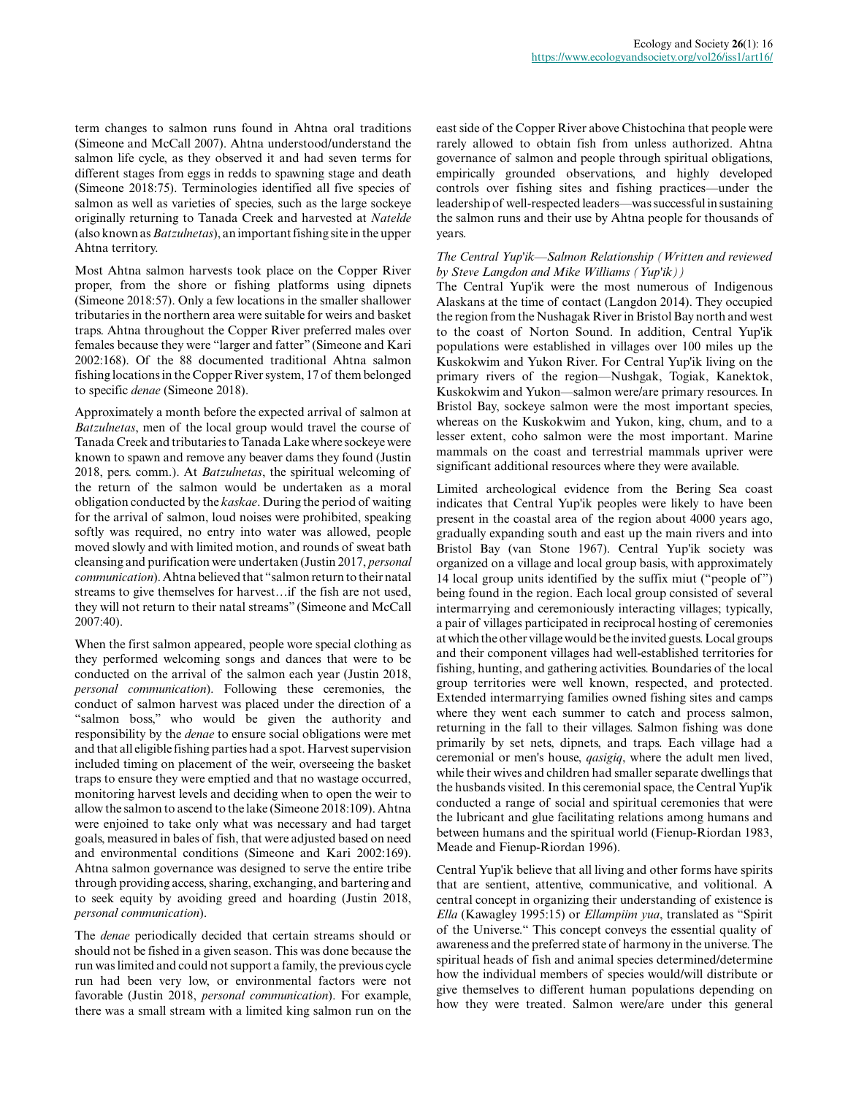term changes to salmon runs found in Ahtna oral traditions (Simeone and McCall 2007). Ahtna understood/understand the salmon life cycle, as they observed it and had seven terms for different stages from eggs in redds to spawning stage and death (Simeone 2018:75). Terminologies identified all five species of salmon as well as varieties of species, such as the large sockeye originally returning to Tanada Creek and harvested at *Natelde* (also known as *Batzulnetas*), an important fishing site in the upper Ahtna territory.

Most Ahtna salmon harvests took place on the Copper River proper, from the shore or fishing platforms using dipnets (Simeone 2018:57). Only a few locations in the smaller shallower tributaries in the northern area were suitable for weirs and basket traps. Ahtna throughout the Copper River preferred males over females because they were "larger and fatter" (Simeone and Kari 2002:168). Of the 88 documented traditional Ahtna salmon fishing locations in the Copper River system, 17 of them belonged to specific *denae* (Simeone 2018).

Approximately a month before the expected arrival of salmon at *Batzulnetas*, men of the local group would travel the course of Tanada Creek and tributaries to Tanada Lake where sockeye were known to spawn and remove any beaver dams they found (Justin 2018, pers. comm.). At *Batzulnetas*, the spiritual welcoming of the return of the salmon would be undertaken as a moral obligation conducted by the *kaskae*. During the period of waiting for the arrival of salmon, loud noises were prohibited, speaking softly was required, no entry into water was allowed, people moved slowly and with limited motion, and rounds of sweat bath cleansing and purification were undertaken (Justin 2017, *personal communication*). Ahtna believed that "salmon return to their natal streams to give themselves for harvest…if the fish are not used, they will not return to their natal streams" (Simeone and McCall 2007:40).

When the first salmon appeared, people wore special clothing as they performed welcoming songs and dances that were to be conducted on the arrival of the salmon each year (Justin 2018, *personal communication*). Following these ceremonies, the conduct of salmon harvest was placed under the direction of a "salmon boss," who would be given the authority and responsibility by the *denae* to ensure social obligations were met and that all eligible fishing parties had a spot. Harvest supervision included timing on placement of the weir, overseeing the basket traps to ensure they were emptied and that no wastage occurred, monitoring harvest levels and deciding when to open the weir to allow the salmon to ascend to the lake (Simeone 2018:109). Ahtna were enjoined to take only what was necessary and had target goals, measured in bales of fish, that were adjusted based on need and environmental conditions (Simeone and Kari 2002:169). Ahtna salmon governance was designed to serve the entire tribe through providing access, sharing, exchanging, and bartering and to seek equity by avoiding greed and hoarding (Justin 2018, *personal communication*).

The *denae* periodically decided that certain streams should or should not be fished in a given season. This was done because the run was limited and could not support a family, the previous cycle run had been very low, or environmental factors were not favorable (Justin 2018, *personal communication*). For example, there was a small stream with a limited king salmon run on the east side of the Copper River above Chistochina that people were rarely allowed to obtain fish from unless authorized. Ahtna governance of salmon and people through spiritual obligations, empirically grounded observations, and highly developed controls over fishing sites and fishing practices—under the leadership of well-respected leaders—was successful in sustaining the salmon runs and their use by Ahtna people for thousands of years.

# *The Central Yup'ik—Salmon Relationship (Written and reviewed by Steve Langdon and Mike Williams (Yup'ik))*

The Central Yup'ik were the most numerous of Indigenous Alaskans at the time of contact (Langdon 2014). They occupied the region from the Nushagak River in Bristol Bay north and west to the coast of Norton Sound. In addition, Central Yup'ik populations were established in villages over 100 miles up the Kuskokwim and Yukon River. For Central Yup'ik living on the primary rivers of the region—Nushgak, Togiak, Kanektok, Kuskokwim and Yukon—salmon were/are primary resources. In Bristol Bay, sockeye salmon were the most important species, whereas on the Kuskokwim and Yukon, king, chum, and to a lesser extent, coho salmon were the most important. Marine mammals on the coast and terrestrial mammals upriver were significant additional resources where they were available.

Limited archeological evidence from the Bering Sea coast indicates that Central Yup'ik peoples were likely to have been present in the coastal area of the region about 4000 years ago, gradually expanding south and east up the main rivers and into Bristol Bay (van Stone 1967). Central Yup'ik society was organized on a village and local group basis, with approximately 14 local group units identified by the suffix miut ("people of") being found in the region. Each local group consisted of several intermarrying and ceremoniously interacting villages; typically, a pair of villages participated in reciprocal hosting of ceremonies at which the other village would be the invited guests. Local groups and their component villages had well-established territories for fishing, hunting, and gathering activities. Boundaries of the local group territories were well known, respected, and protected. Extended intermarrying families owned fishing sites and camps where they went each summer to catch and process salmon, returning in the fall to their villages. Salmon fishing was done primarily by set nets, dipnets, and traps. Each village had a ceremonial or men's house, *qasigiq*, where the adult men lived, while their wives and children had smaller separate dwellings that the husbands visited. In this ceremonial space, the Central Yup'ik conducted a range of social and spiritual ceremonies that were the lubricant and glue facilitating relations among humans and between humans and the spiritual world (Fienup-Riordan 1983, Meade and Fienup-Riordan 1996).

Central Yup'ik believe that all living and other forms have spirits that are sentient, attentive, communicative, and volitional. A central concept in organizing their understanding of existence is *Ella* (Kawagley 1995:15) or *Ellampiim yua*, translated as "Spirit of the Universe." This concept conveys the essential quality of awareness and the preferred state of harmony in the universe. The spiritual heads of fish and animal species determined/determine how the individual members of species would/will distribute or give themselves to different human populations depending on how they were treated. Salmon were/are under this general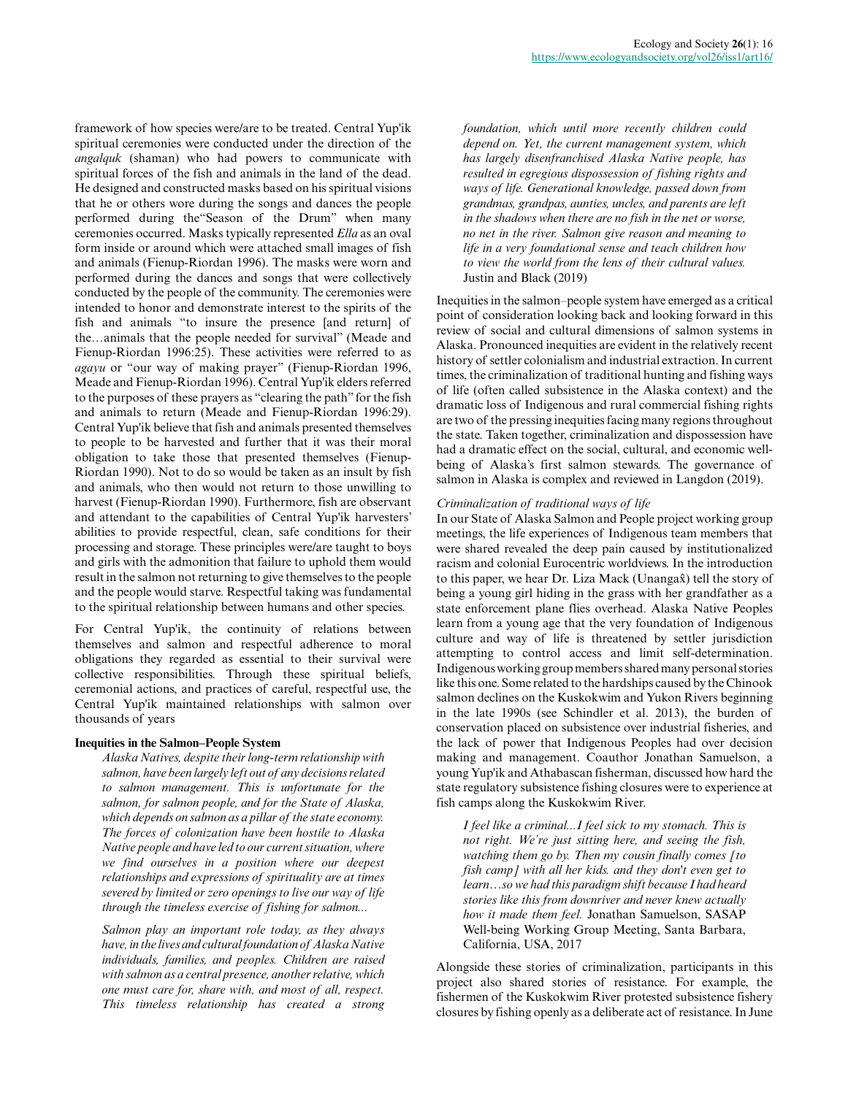framework of how species were/are to be treated. Central Yup'ik spiritual ceremonies were conducted under the direction of the *angalquk* (shaman) who had powers to communicate with spiritual forces of the fish and animals in the land of the dead. He designed and constructed masks based on his spiritual visions that he or others wore during the songs and dances the people performed during the"Season of the Drum" when many ceremonies occurred. Masks typically represented *Ella* as an oval form inside or around which were attached small images of fish and animals (Fienup-Riordan 1996). The masks were worn and performed during the dances and songs that were collectively conducted by the people of the community. The ceremonies were intended to honor and demonstrate interest to the spirits of the fish and animals "to insure the presence [and return] of the…animals that the people needed for survival" (Meade and Fienup-Riordan 1996:25). These activities were referred to as *agayu* or "our way of making prayer" (Fienup-Riordan 1996, Meade and Fienup-Riordan 1996). Central Yup'ik elders referred to the purposes of these prayers as "clearing the path" for the fish and animals to return (Meade and Fienup-Riordan 1996:29). Central Yup'ik believe that fish and animals presented themselves to people to be harvested and further that it was their moral obligation to take those that presented themselves (Fienup-Riordan 1990). Not to do so would be taken as an insult by fish and animals, who then would not return to those unwilling to harvest (Fienup-Riordan 1990). Furthermore, fish are observant and attendant to the capabilities of Central Yup'ik harvesters' abilities to provide respectful, clean, safe conditions for their processing and storage. These principles were/are taught to boys and girls with the admonition that failure to uphold them would result in the salmon not returning to give themselves to the people and the people would starve. Respectful taking was fundamental to the spiritual relationship between humans and other species.

For Central Yup'ik, the continuity of relations between themselves and salmon and respectful adherence to moral obligations they regarded as essential to their survival were collective responsibilities. Through these spiritual beliefs, ceremonial actions, and practices of careful, respectful use, the Central Yup'ik maintained relationships with salmon over thousands of years

# **Inequities in the Salmon–People System**

*Alaska Natives, despite their long-term relationship with salmon, have been largely left out of any decisions related to salmon management. This is unfortunate for the salmon, for salmon people, and for the State of Alaska, which depends on salmon as a pillar of the state economy. The forces of colonization have been hostile to Alaska Native people and have led to our current situation, where we find ourselves in a position where our deepest relationships and expressions of spirituality are at times severed by limited or zero openings to live our way of life through the timeless exercise of fishing for salmon...*

*Salmon play an important role today, as they always have, in the lives and cultural foundation of Alaska Native individuals, families, and peoples. Children are raised with salmon as a central presence, another relative, which one must care for, share with, and most of all, respect. This timeless relationship has created a strong*

*foundation, which until more recently children could depend on. Yet, the current management system, which has largely disenfranchised Alaska Native people, has resulted in egregious dispossession of fishing rights and ways of life. Generational knowledge, passed down from grandmas, grandpas, aunties, uncles, and parents are left in the shadows when there are no fish in the net or worse, no net in the river. Salmon give reason and meaning to life in a very foundational sense and teach children how to view the world from the lens of their cultural values.* Justin and Black (2019)

Inequities in the salmon–people system have emerged as a critical point of consideration looking back and looking forward in this review of social and cultural dimensions of salmon systems in Alaska. Pronounced inequities are evident in the relatively recent history of settler colonialism and industrial extraction. In current times, the criminalization of traditional hunting and fishing ways of life (often called subsistence in the Alaska context) and the dramatic loss of Indigenous and rural commercial fishing rights are two of the pressing inequities facing many regions throughout the state. Taken together, criminalization and dispossession have had a dramatic effect on the social, cultural, and economic wellbeing of Alaska's first salmon stewards. The governance of salmon in Alaska is complex and reviewed in Langdon (2019).

### *Criminalization of traditional ways of life*

In our State of Alaska Salmon and People project working group meetings, the life experiences of Indigenous team members that were shared revealed the deep pain caused by institutionalized racism and colonial Eurocentric worldviews. In the introduction to this paper, we hear Dr. Liza Mack (Unangax̂) tell the story of being a young girl hiding in the grass with her grandfather as a state enforcement plane flies overhead. Alaska Native Peoples learn from a young age that the very foundation of Indigenous culture and way of life is threatened by settler jurisdiction attempting to control access and limit self-determination. Indigenous working group members shared many personal stories like this one. Some related to the hardships caused by the Chinook salmon declines on the Kuskokwim and Yukon Rivers beginning in the late 1990s (see Schindler et al. 2013), the burden of conservation placed on subsistence over industrial fisheries, and the lack of power that Indigenous Peoples had over decision making and management. Coauthor Jonathan Samuelson, a young Yup'ik and Athabascan fisherman, discussed how hard the state regulatory subsistence fishing closures were to experience at fish camps along the Kuskokwim River.

*I feel like a criminal...I feel sick to my stomach. This is not right. We're just sitting here, and seeing the fish, watching them go by. Then my cousin finally comes [to fish camp] with all her kids. and they don't even get to learn…so we had this paradigm shift because I had heard stories like this from downriver and never knew actually how it made them feel.* Jonathan Samuelson, SASAP Well-being Working Group Meeting, Santa Barbara, California, USA, 2017

Alongside these stories of criminalization, participants in this project also shared stories of resistance. For example, the fishermen of the Kuskokwim River protested subsistence fishery closures by fishing openly as a deliberate act of resistance. In June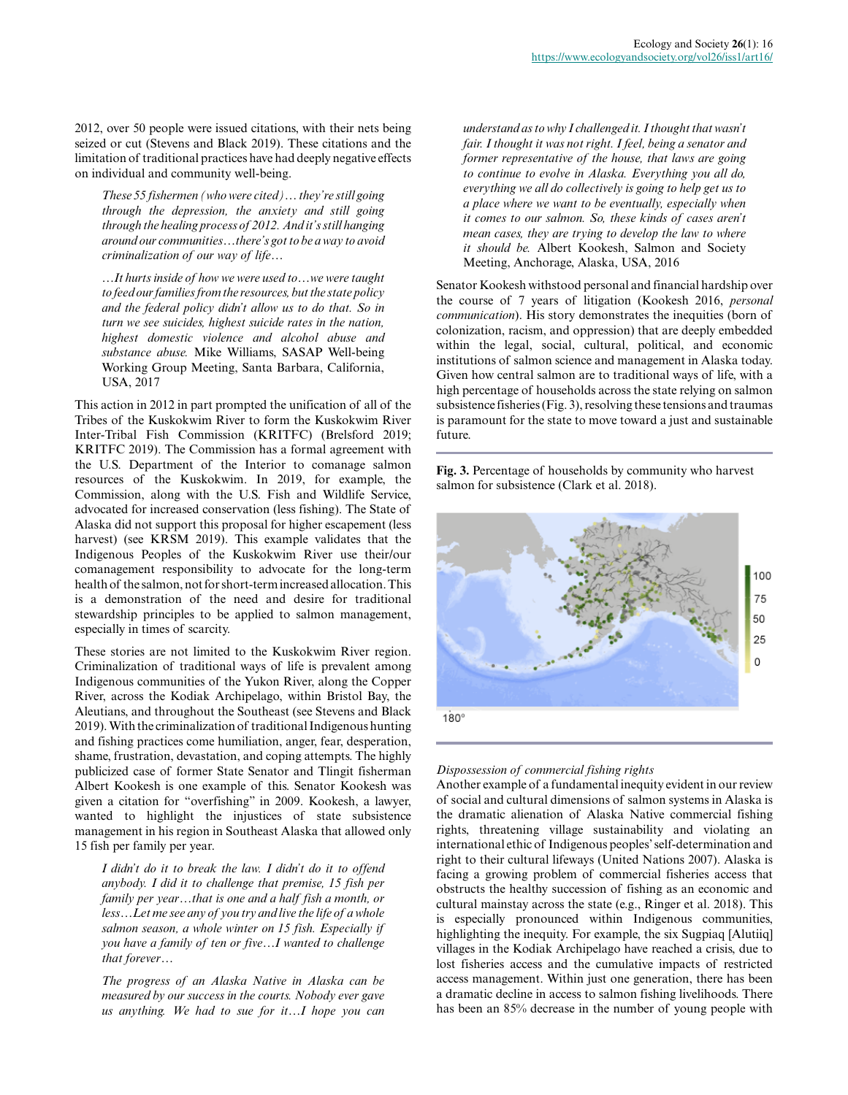2012, over 50 people were issued citations, with their nets being seized or cut (Stevens and Black 2019). These citations and the limitation of traditional practices have had deeply negative effects on individual and community well-being.

*These 55 fishermen (who were cited)… they're still going through the depression, the anxiety and still going through the healing process of 2012. And it's still hanging around our communities…there's got to be a way to avoid criminalization of our way of life…*

*…It hurts inside of how we were used to…we were taught to feed our families from the resources, but the state policy and the federal policy didn't allow us to do that. So in turn we see suicides, highest suicide rates in the nation, highest domestic violence and alcohol abuse and substance abuse.* Mike Williams, SASAP Well-being Working Group Meeting, Santa Barbara, California, USA, 2017

This action in 2012 in part prompted the unification of all of the Tribes of the Kuskokwim River to form the Kuskokwim River Inter-Tribal Fish Commission (KRITFC) (Brelsford 2019; KRITFC 2019). The Commission has a formal agreement with the U.S. Department of the Interior to comanage salmon resources of the Kuskokwim. In 2019, for example, the Commission, along with the U.S. Fish and Wildlife Service, advocated for increased conservation (less fishing). The State of Alaska did not support this proposal for higher escapement (less harvest) (see KRSM 2019). This example validates that the Indigenous Peoples of the Kuskokwim River use their/our comanagement responsibility to advocate for the long-term health of the salmon, not for short-term increased allocation. This is a demonstration of the need and desire for traditional stewardship principles to be applied to salmon management, especially in times of scarcity.

These stories are not limited to the Kuskokwim River region. Criminalization of traditional ways of life is prevalent among Indigenous communities of the Yukon River, along the Copper River, across the Kodiak Archipelago, within Bristol Bay, the Aleutians, and throughout the Southeast (see Stevens and Black 2019). With the criminalization of traditional Indigenous hunting and fishing practices come humiliation, anger, fear, desperation, shame, frustration, devastation, and coping attempts. The highly publicized case of former State Senator and Tlingit fisherman Albert Kookesh is one example of this. Senator Kookesh was given a citation for "overfishing" in 2009. Kookesh, a lawyer, wanted to highlight the injustices of state subsistence management in his region in Southeast Alaska that allowed only 15 fish per family per year.

*I didn't do it to break the law. I didn't do it to offend anybody. I did it to challenge that premise, 15 fish per family per year…that is one and a half fish a month, or less…Let me see any of you try and live the life of a whole salmon season, a whole winter on 15 fish. Especially if you have a family of ten or five…I wanted to challenge that forever…*

*The progress of an Alaska Native in Alaska can be measured by our success in the courts. Nobody ever gave us anything. We had to sue for it…I hope you can*

*understand as to why I challenged it. I thought that wasn't fair. I thought it was not right. I feel, being a senator and former representative of the house, that laws are going to continue to evolve in Alaska. Everything you all do, everything we all do collectively is going to help get us to a place where we want to be eventually, especially when it comes to our salmon. So, these kinds of cases aren't mean cases, they are trying to develop the law to where it should be.* Albert Kookesh, Salmon and Society Meeting, Anchorage, Alaska, USA, 2016

Senator Kookesh withstood personal and financial hardship over the course of 7 years of litigation (Kookesh 2016, *personal communication*). His story demonstrates the inequities (born of colonization, racism, and oppression) that are deeply embedded within the legal, social, cultural, political, and economic institutions of salmon science and management in Alaska today. Given how central salmon are to traditional ways of life, with a high percentage of households across the state relying on salmon subsistence fisheries (Fig. 3), resolving these tensions and traumas is paramount for the state to move toward a just and sustainable future.

**Fig. 3.** Percentage of households by community who harvest salmon for subsistence (Clark et al. 2018).



# *Dispossession of commercial fishing rights*

Another example of a fundamental inequity evident in our review of social and cultural dimensions of salmon systems in Alaska is the dramatic alienation of Alaska Native commercial fishing rights, threatening village sustainability and violating an international ethic of Indigenous peoples' self-determination and right to their cultural lifeways (United Nations 2007). Alaska is facing a growing problem of commercial fisheries access that obstructs the healthy succession of fishing as an economic and cultural mainstay across the state (e.g., Ringer et al. 2018). This is especially pronounced within Indigenous communities, highlighting the inequity. For example, the six Sugpiaq [Alutiiq] villages in the Kodiak Archipelago have reached a crisis, due to lost fisheries access and the cumulative impacts of restricted access management. Within just one generation, there has been a dramatic decline in access to salmon fishing livelihoods. There has been an 85% decrease in the number of young people with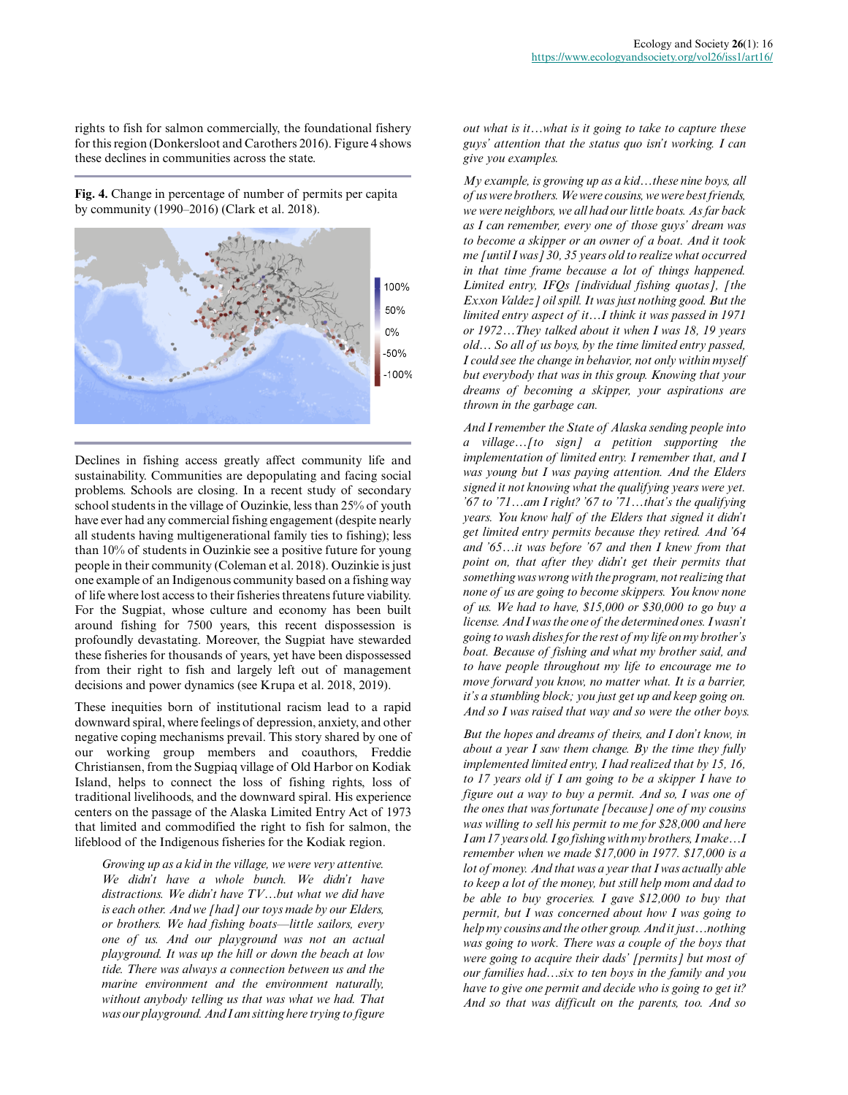rights to fish for salmon commercially, the foundational fishery for this region (Donkersloot and Carothers 2016). Figure 4 shows these declines in communities across the state.

**Fig. 4.** Change in percentage of number of permits per capita by community (1990–2016) (Clark et al. 2018).



Declines in fishing access greatly affect community life and sustainability. Communities are depopulating and facing social problems. Schools are closing. In a recent study of secondary school students in the village of Ouzinkie, less than 25% of youth have ever had any commercial fishing engagement (despite nearly all students having multigenerational family ties to fishing); less than 10% of students in Ouzinkie see a positive future for young people in their community (Coleman et al. 2018). Ouzinkie is just one example of an Indigenous community based on a fishing way of life where lost access to their fisheries threatens future viability. For the Sugpiat, whose culture and economy has been built around fishing for 7500 years, this recent dispossession is profoundly devastating. Moreover, the Sugpiat have stewarded these fisheries for thousands of years, yet have been dispossessed from their right to fish and largely left out of management decisions and power dynamics (see Krupa et al. 2018, 2019).

These inequities born of institutional racism lead to a rapid downward spiral, where feelings of depression, anxiety, and other negative coping mechanisms prevail. This story shared by one of our working group members and coauthors, Freddie Christiansen, from the Sugpiaq village of Old Harbor on Kodiak Island, helps to connect the loss of fishing rights, loss of traditional livelihoods, and the downward spiral. His experience centers on the passage of the Alaska Limited Entry Act of 1973 that limited and commodified the right to fish for salmon, the lifeblood of the Indigenous fisheries for the Kodiak region.

*Growing up as a kid in the village, we were very attentive. We didn't have a whole bunch. We didn't have distractions. We didn't have TV…but what we did have is each other. And we [had] our toys made by our Elders, or brothers. We had fishing boats—little sailors, every one of us. And our playground was not an actual playground. It was up the hill or down the beach at low tide. There was always a connection between us and the marine environment and the environment naturally, without anybody telling us that was what we had. That was our playground. And I am sitting here trying to figure*

*out what is it…what is it going to take to capture these guys' attention that the status quo isn't working. I can give you examples.*

*My example, is growing up as a kid…these nine boys, all of us were brothers. We were cousins, we were best friends, we were neighbors, we all had our little boats. As far back as I can remember, every one of those guys' dream was to become a skipper or an owner of a boat. And it took me [until I was] 30, 35 years old to realize what occurred in that time frame because a lot of things happened. Limited entry, IFQs [individual fishing quotas], [the Exxon Valdez] oil spill. It was just nothing good. But the limited entry aspect of it…I think it was passed in 1971 or 1972…They talked about it when I was 18, 19 years old… So all of us boys, by the time limited entry passed, I could see the change in behavior, not only within myself but everybody that was in this group. Knowing that your dreams of becoming a skipper, your aspirations are thrown in the garbage can.*

*And I remember the State of Alaska sending people into a village…[to sign] a petition supporting the implementation of limited entry. I remember that, and I was young but I was paying attention. And the Elders signed it not knowing what the qualifying years were yet. '67 to '71…am I right? '67 to '71…that's the qualifying years. You know half of the Elders that signed it didn't get limited entry permits because they retired. And '64 and '65…it was before '67 and then I knew from that point on, that after they didn't get their permits that something was wrong with the program, not realizing that none of us are going to become skippers. You know none of us. We had to have, \$15,000 or \$30,000 to go buy a license. And I was the one of the determined ones. I wasn't going to wash dishes for the rest of my life on my brother's boat. Because of fishing and what my brother said, and to have people throughout my life to encourage me to move forward you know, no matter what. It is a barrier, it's a stumbling block; you just get up and keep going on. And so I was raised that way and so were the other boys.*

*But the hopes and dreams of theirs, and I don't know, in about a year I saw them change. By the time they fully implemented limited entry, I had realized that by 15, 16, to 17 years old if I am going to be a skipper I have to figure out a way to buy a permit. And so, I was one of the ones that was fortunate [because] one of my cousins was willing to sell his permit to me for \$28,000 and here I am 17 years old. I go fishing with my brothers, I make…I remember when we made \$17,000 in 1977. \$17,000 is a lot of money. And that was a year that I was actually able to keep a lot of the money, but still help mom and dad to be able to buy groceries. I gave \$12,000 to buy that permit, but I was concerned about how I was going to help my cousins and the other group. And it just…nothing was going to work. There was a couple of the boys that were going to acquire their dads' [permits] but most of our families had…six to ten boys in the family and you have to give one permit and decide who is going to get it? And so that was difficult on the parents, too. And so*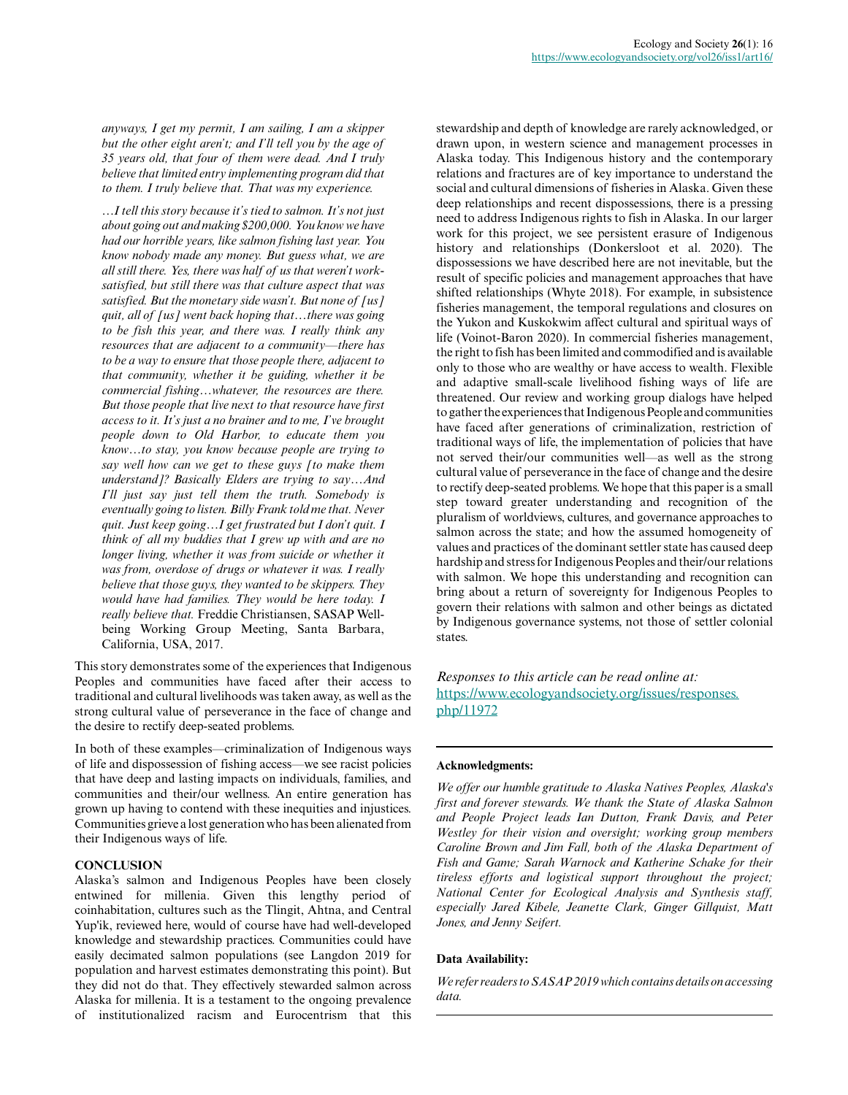*anyways, I get my permit, I am sailing, I am a skipper but the other eight aren't; and I'll tell you by the age of 35 years old, that four of them were dead. And I truly believe that limited entry implementing program did that to them. I truly believe that. That was my experience.*

*…I tell this story because it's tied to salmon. It's not just about going out and making \$200,000. You know we have had our horrible years, like salmon fishing last year. You know nobody made any money. But guess what, we are all still there. Yes, there was half of us that weren't worksatisfied, but still there was that culture aspect that was satisfied. But the monetary side wasn't. But none of [us] quit, all of [us] went back hoping that…there was going to be fish this year, and there was. I really think any resources that are adjacent to a community—there has to be a way to ensure that those people there, adjacent to that community, whether it be guiding, whether it be commercial fishing…whatever, the resources are there. But those people that live next to that resource have first access to it. It's just a no brainer and to me, I've brought people down to Old Harbor, to educate them you know…to stay, you know because people are trying to say well how can we get to these guys [to make them understand]? Basically Elders are trying to say…And I'll just say just tell them the truth. Somebody is eventually going to listen. Billy Frank told me that. Never quit. Just keep going…I get frustrated but I don't quit. I think of all my buddies that I grew up with and are no longer living, whether it was from suicide or whether it was from, overdose of drugs or whatever it was. I really believe that those guys, they wanted to be skippers. They would have had families. They would be here today. I really believe that.* Freddie Christiansen, SASAP Wellbeing Working Group Meeting, Santa Barbara, California, USA, 2017.

This story demonstrates some of the experiences that Indigenous Peoples and communities have faced after their access to traditional and cultural livelihoods was taken away, as well as the strong cultural value of perseverance in the face of change and the desire to rectify deep-seated problems.

In both of these examples—criminalization of Indigenous ways of life and dispossession of fishing access—we see racist policies that have deep and lasting impacts on individuals, families, and communities and their/our wellness. An entire generation has grown up having to contend with these inequities and injustices. Communities grieve a lost generation who has been alienated from their Indigenous ways of life.

#### **CONCLUSION**

Alaska's salmon and Indigenous Peoples have been closely entwined for millenia. Given this lengthy period of coinhabitation, cultures such as the Tlingit, Ahtna, and Central Yup'ik, reviewed here, would of course have had well-developed knowledge and stewardship practices. Communities could have easily decimated salmon populations (see Langdon 2019 for population and harvest estimates demonstrating this point). But they did not do that. They effectively stewarded salmon across Alaska for millenia. It is a testament to the ongoing prevalence of institutionalized racism and Eurocentrism that this

stewardship and depth of knowledge are rarely acknowledged, or drawn upon, in western science and management processes in Alaska today. This Indigenous history and the contemporary relations and fractures are of key importance to understand the social and cultural dimensions of fisheries in Alaska. Given these deep relationships and recent dispossessions, there is a pressing need to address Indigenous rights to fish in Alaska. In our larger work for this project, we see persistent erasure of Indigenous history and relationships (Donkersloot et al. 2020). The dispossessions we have described here are not inevitable, but the result of specific policies and management approaches that have shifted relationships (Whyte 2018). For example, in subsistence fisheries management, the temporal regulations and closures on the Yukon and Kuskokwim affect cultural and spiritual ways of life (Voinot-Baron 2020). In commercial fisheries management, the right to fish has been limited and commodified and is available only to those who are wealthy or have access to wealth. Flexible and adaptive small-scale livelihood fishing ways of life are threatened. Our review and working group dialogs have helped to gather the experiences that Indigenous People and communities have faced after generations of criminalization, restriction of traditional ways of life, the implementation of policies that have not served their/our communities well—as well as the strong cultural value of perseverance in the face of change and the desire to rectify deep-seated problems. We hope that this paper is a small step toward greater understanding and recognition of the pluralism of worldviews, cultures, and governance approaches to salmon across the state; and how the assumed homogeneity of values and practices of the dominant settler state has caused deep hardship and stress for Indigenous Peoples and their/our relations with salmon. We hope this understanding and recognition can bring about a return of sovereignty for Indigenous Peoples to govern their relations with salmon and other beings as dictated by Indigenous governance systems, not those of settler colonial states.

*Responses to this article can be read online at:* [https://www.ecologyandsociety.org/issues/responses.](https://www.ecologyandsociety.org/issues/responses.php/11972) [php/11972](https://www.ecologyandsociety.org/issues/responses.php/11972)

#### **Acknowledgments:**

*We offer our humble gratitude to Alaska Natives Peoples, Alaska's first and forever stewards. We thank the State of Alaska Salmon and People Project leads Ian Dutton, Frank Davis, and Peter Westley for their vision and oversight; working group members Caroline Brown and Jim Fall, both of the Alaska Department of Fish and Game; Sarah Warnock and Katherine Schake for their tireless efforts and logistical support throughout the project; National Center for Ecological Analysis and Synthesis staff, especially Jared Kibele, Jeanette Clark, Ginger Gillquist, Matt Jones, and Jenny Seifert.*

#### **Data Availability:**

*We refer readers to SASAP 2019 which contains details on accessing data.*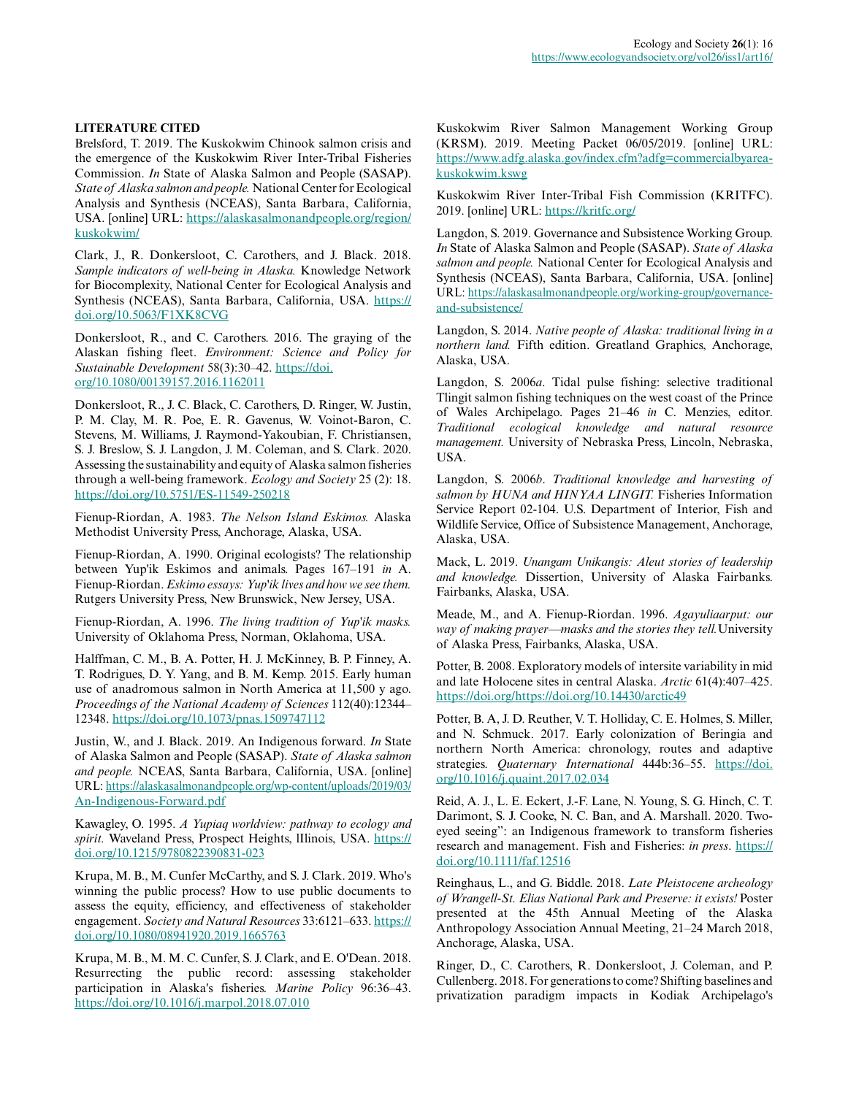# **LITERATURE CITED**

Brelsford, T. 2019. The Kuskokwim Chinook salmon crisis and the emergence of the Kuskokwim River Inter-Tribal Fisheries Commission. *In* State of Alaska Salmon and People (SASAP). *State of Alaska salmon and people.* National Center for Ecological Analysis and Synthesis (NCEAS), Santa Barbara, California, USA. [online] URL: [https://alaskasalmonandpeople.org/region/](https://alaskasalmonandpeople.org/region/kuskokwim/) [kuskokwim/](https://alaskasalmonandpeople.org/region/kuskokwim/) 

Clark, J., R. Donkersloot, C. Carothers, and J. Black. 2018. *Sample indicators of well-being in Alaska.* Knowledge Network for Biocomplexity, National Center for Ecological Analysis and Synthesis (NCEAS), Santa Barbara, California, USA. [https://](https://doi.org/10.5063/F1XK8CVG) [doi.org/10.5063/F1XK8CVG](https://doi.org/10.5063/F1XK8CVG)

Donkersloot, R., and C. Carothers. 2016. The graying of the Alaskan fishing fleet. *Environment: Science and Policy for Sustainable Development* 58(3):30–42. [https://doi.](https://doi.org/10.1080/00139157.2016.1162011) [org/10.1080/00139157.2016.1162011](https://doi.org/10.1080/00139157.2016.1162011) 

Donkersloot, R., J. C. Black, C. Carothers, D. Ringer, W. Justin, P. M. Clay, M. R. Poe, E. R. Gavenus, W. Voinot-Baron, C. Stevens, M. Williams, J. Raymond-Yakoubian, F. Christiansen, S. J. Breslow, S. J. Langdon, J. M. Coleman, and S. Clark. 2020. Assessing the sustainability and equity of Alaska salmon fisheries through a well-being framework. *Ecology and Society* 25 (2): 18. <https://doi.org/10.5751/ES-11549-250218>

Fienup-Riordan, A. 1983. *The Nelson Island Eskimos.* Alaska Methodist University Press, Anchorage, Alaska, USA.

Fienup-Riordan, A. 1990. Original ecologists? The relationship between Yup'ik Eskimos and animals. Pages 167–191 *in* A. Fienup-Riordan. *Eskimo essays: Yup'ik lives and how we see them.* Rutgers University Press, New Brunswick, New Jersey, USA.

Fienup-Riordan, A. 1996. *The living tradition of Yup'ik masks.* University of Oklahoma Press, Norman, Oklahoma, USA.

Halffman, C. M., B. A. Potter, H. J. McKinney, B. P. Finney, A. T. Rodrigues, D. Y. Yang, and B. M. Kemp. 2015. Early human use of anadromous salmon in North America at 11,500 y ago. *Proceedings of the National Academy of Sciences* 112(40):12344– 12348.<https://doi.org/10.1073/pnas.1509747112>

Justin, W., and J. Black. 2019. An Indigenous forward. *In* State of Alaska Salmon and People (SASAP). *State of Alaska salmon and people.* NCEAS, Santa Barbara, California, USA. [online] URL: [https://alaskasalmonandpeople.org/wp-content/uploads/2019/03/](https://alaskasalmonandpeople.org/wp-content/uploads/2019/03/An-Indigenous-Forward.pdf) [An-Indigenous-Forward.pdf](https://alaskasalmonandpeople.org/wp-content/uploads/2019/03/An-Indigenous-Forward.pdf)

Kawagley, O. 1995. *A Yupiaq worldview: pathway to ecology and spirit.* Waveland Press, Prospect Heights, lIlinois, USA. [https://](https://doi.org/10.1215/9780822390831-023) [doi.org/10.1215/9780822390831-023](https://doi.org/10.1215/9780822390831-023) 

Krupa, M. B., M. Cunfer McCarthy, and S. J. Clark. 2019. Who's winning the public process? How to use public documents to assess the equity, efficiency, and effectiveness of stakeholder engagement. *Society and Natural Resources* 33:6121–633. [https://](https://doi.org/10.1080/08941920.2019.1665763) [doi.org/10.1080/08941920.2019.1665763](https://doi.org/10.1080/08941920.2019.1665763)

Krupa, M. B., M. M. C. Cunfer, S. J. Clark, and E. O'Dean. 2018. Resurrecting the public record: assessing stakeholder participation in Alaska's fisheries. *Marine Policy* 96:36–43. <https://doi.org/10.1016/j.marpol.2018.07.010>

Kuskokwim River Salmon Management Working Group (KRSM). 2019. Meeting Packet 06/05/2019. [online] URL: [https://www.adfg.alaska.gov/index.cfm?adfg=commercialbyarea](https://www.adfg.alaska.gov/index.cfm?adfg=commercialbyareakuskokwim.kswg)[kuskokwim.kswg](https://www.adfg.alaska.gov/index.cfm?adfg=commercialbyareakuskokwim.kswg) 

Kuskokwim River Inter-Tribal Fish Commission (KRITFC). 2019. [online] URL: <https://kritfc.org/>

Langdon, S. 2019. Governance and Subsistence Working Group. *In* State of Alaska Salmon and People (SASAP). *State of Alaska salmon and people.* National Center for Ecological Analysis and Synthesis (NCEAS), Santa Barbara, California, USA. [online] URL: [https://alaskasalmonandpeople.org/working-group/governance](https://alaskasalmonandpeople.org/working-group/governance-and-subsistence/)[and-subsistence/](https://alaskasalmonandpeople.org/working-group/governance-and-subsistence/) 

Langdon, S. 2014. *Native people of Alaska: traditional living in a northern land.* Fifth edition. Greatland Graphics, Anchorage, Alaska, USA.

Langdon, S. 2006*a*. Tidal pulse fishing: selective traditional Tlingit salmon fishing techniques on the west coast of the Prince of Wales Archipelago. Pages 21–46 *in* C. Menzies, editor. *Traditional ecological knowledge and natural resource management.* University of Nebraska Press, Lincoln, Nebraska, USA.

Langdon, S. 2006*b*. *Traditional knowledge and harvesting of salmon by HUNA and HINYAA LINGIT.* Fisheries Information Service Report 02-104. U.S. Department of Interior, Fish and Wildlife Service, Office of Subsistence Management, Anchorage, Alaska, USA.

Mack, L. 2019. *Unangam Unikangis: Aleut stories of leadership and knowledge.* Dissertion, University of Alaska Fairbanks. Fairbanks, Alaska, USA.

Meade, M., and A. Fienup-Riordan. 1996. *Agayuliaarput: our way of making prayer—masks and the stories they tell.*University of Alaska Press, Fairbanks, Alaska, USA.

Potter, B. 2008. Exploratory models of intersite variability in mid and late Holocene sites in central Alaska. *Arctic* 61(4):407–425. <https://doi.org/https://doi.org/10.14430/arctic49>

Potter, B. A, J. D. Reuther, V. T. Holliday, C. E. Holmes, S. Miller, and N. Schmuck. 2017. Early colonization of Beringia and northern North America: chronology, routes and adaptive strategies. *Quaternary International* 444b:36–55. [https://doi.](https://doi.org/10.1016/j.quaint.2017.02.034) [org/10.1016/j.quaint.2017.02.034](https://doi.org/10.1016/j.quaint.2017.02.034) 

Reid, A. J., L. E. Eckert, J.-F. Lane, N. Young, S. G. Hinch, C. T. Darimont, S. J. Cooke, N. C. Ban, and A. Marshall. 2020. Twoeyed seeing": an Indigenous framework to transform fisheries research and management. Fish and Fisheries: *in press*. [https://](https://doi.org/10.1111/faf.12516) [doi.org/10.1111/faf.12516](https://doi.org/10.1111/faf.12516) 

Reinghaus, L., and G. Biddle. 2018. *Late Pleistocene archeology of Wrangell-St. Elias National Park and Preserve: it exists!* Poster presented at the 45th Annual Meeting of the Alaska Anthropology Association Annual Meeting, 21–24 March 2018, Anchorage, Alaska, USA.

Ringer, D., C. Carothers, R. Donkersloot, J. Coleman, and P. Cullenberg. 2018. For generations to come? Shifting baselines and privatization paradigm impacts in Kodiak Archipelago's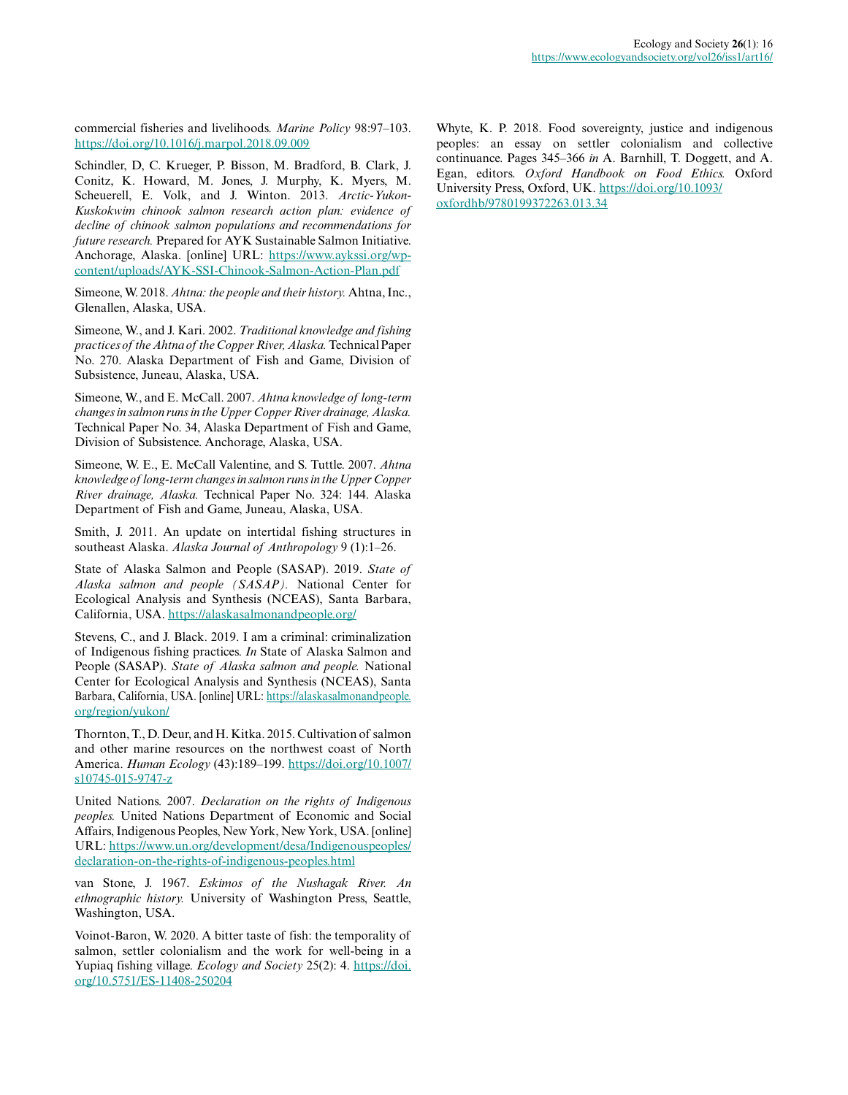commercial fisheries and livelihoods. *Marine Policy* 98:97–103. <https://doi.org/10.1016/j.marpol.2018.09.009>

Schindler, D, C. Krueger, P. Bisson, M. Bradford, B. Clark, J. Conitz, K. Howard, M. Jones, J. Murphy, K. Myers, M. Scheuerell, E. Volk, and J. Winton. 2013. *Arctic-Yukon-Kuskokwim chinook salmon research action plan: evidence of decline of chinook salmon populations and recommendations for future research.* Prepared for AYK Sustainable Salmon Initiative. Anchorage, Alaska. [online] URL: [https://www.aykssi.org/wp](https://www.aykssi.org/wp-content/uploads/AYK-SSI-Chinook-Salmon-Action-Plan.pdf)[content/uploads/AYK-SSI-Chinook-Salmon-Action-Plan.pdf](https://www.aykssi.org/wp-content/uploads/AYK-SSI-Chinook-Salmon-Action-Plan.pdf)

Simeone, W. 2018. *Ahtna: the people and their history.* Ahtna, Inc., Glenallen, Alaska, USA.

Simeone, W., and J. Kari. 2002. *Traditional knowledge and fishing practices of the Ahtna of the Copper River, Alaska.* Technical Paper No. 270. Alaska Department of Fish and Game, Division of Subsistence, Juneau, Alaska, USA.

Simeone, W., and E. McCall. 2007. *Ahtna knowledge of long-term changes in salmon runs in the Upper Copper River drainage, Alaska.* Technical Paper No. 34, Alaska Department of Fish and Game, Division of Subsistence. Anchorage, Alaska, USA.

Simeone, W. E., E. McCall Valentine, and S. Tuttle. 2007. *Ahtna knowledge of long-term changes in salmon runs in the Upper Copper River drainage, Alaska.* Technical Paper No. 324: 144. Alaska Department of Fish and Game, Juneau, Alaska, USA.

Smith, J. 2011. An update on intertidal fishing structures in southeast Alaska. *Alaska Journal of Anthropology* 9 (1):1–26.

State of Alaska Salmon and People (SASAP). 2019. *State of Alaska salmon and people (SASAP).* National Center for Ecological Analysis and Synthesis (NCEAS), Santa Barbara, California, USA. <https://alaskasalmonandpeople.org/>

Stevens, C., and J. Black. 2019. I am a criminal: criminalization of Indigenous fishing practices. *In* State of Alaska Salmon and People (SASAP). *State of Alaska salmon and people.* National Center for Ecological Analysis and Synthesis (NCEAS), Santa Barbara, California, USA. [online] URL: [https://alaskasalmonandpeople.](https://alaskasalmonandpeople.org/region/yukon/) [org/region/yukon/](https://alaskasalmonandpeople.org/region/yukon/)

Thornton, T., D. Deur, and H. Kitka. 2015. Cultivation of salmon and other marine resources on the northwest coast of North America. *Human Ecology* (43):189–199. [https://doi.org/10.1007/](https://doi.org/10.1007/s10745-015-9747-z) [s10745-015-9747-z](https://doi.org/10.1007/s10745-015-9747-z)

United Nations. 2007. *Declaration on the rights of Indigenous peoples.* United Nations Department of Economic and Social Affairs, Indigenous Peoples, New York, New York, USA. [online] URL: [https://www.un.org/development/desa/Indigenouspeoples/](https://www.un.org/development/desa/Indigenouspeoples/declaration-on-the-rights-of-indigenous-peoples.html) [declaration-on-the-rights-of-indigenous-peoples.html](https://www.un.org/development/desa/Indigenouspeoples/declaration-on-the-rights-of-indigenous-peoples.html)

van Stone, J. 1967. *Eskimos of the Nushagak River. An ethnographic history.* University of Washington Press, Seattle, Washington, USA.

Voinot-Baron, W. 2020. A bitter taste of fish: the temporality of salmon, settler colonialism and the work for well-being in a Yupiaq fishing village. *Ecology and Society* 25(2): 4. [https://doi.](https://doi.org/10.5751/ES-11408-250204) [org/10.5751/ES-11408-250204](https://doi.org/10.5751/ES-11408-250204) 

Whyte, K. P. 2018. Food sovereignty, justice and indigenous peoples: an essay on settler colonialism and collective continuance. Pages 345–366 *in* A. Barnhill, T. Doggett, and A. Egan, editors. *Oxford Handbook on Food Ethics.* Oxford University Press, Oxford, UK. [https://doi.org/10.1093/](https://doi.org/10.1093/oxfordhb/9780199372263.013.34) [oxfordhb/9780199372263.013.34](https://doi.org/10.1093/oxfordhb/9780199372263.013.34)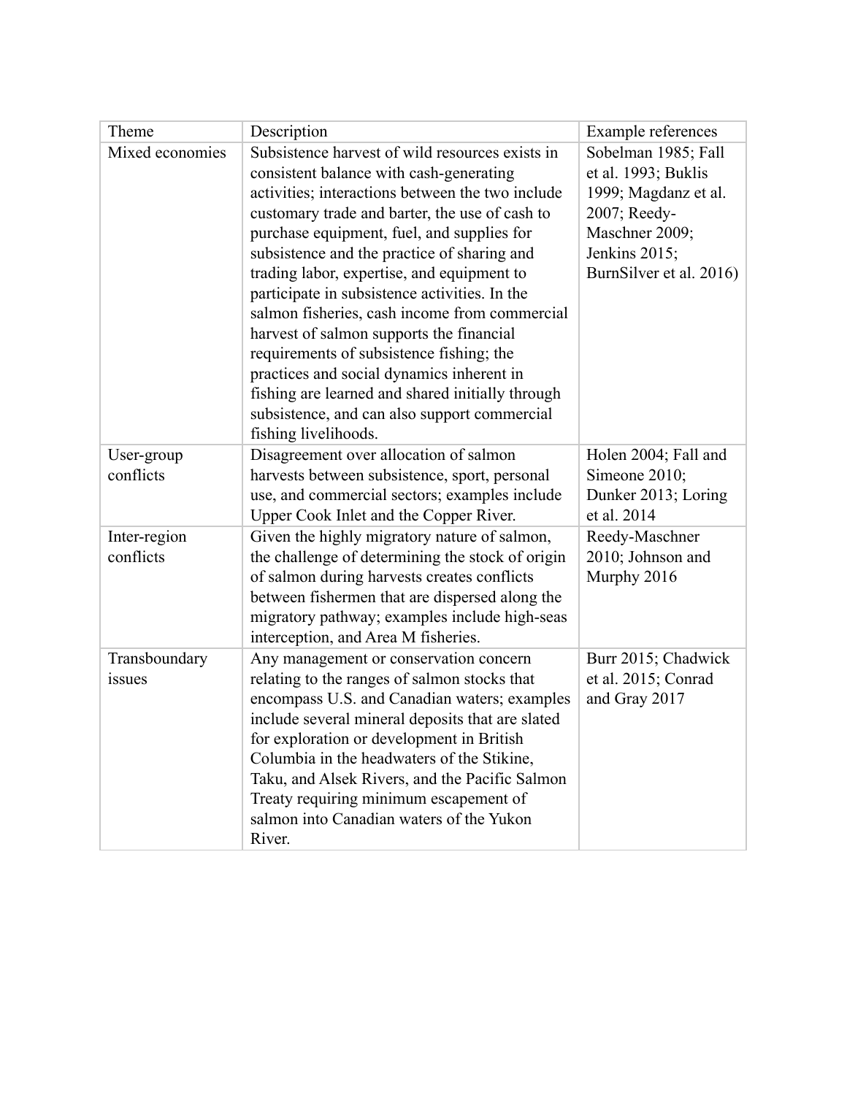| Theme                     | Description                                                                                                                                                                                                                                                                                                                                                                                                                                                                                                                                                                                                                                                                                                    | Example references                                                                                                                               |
|---------------------------|----------------------------------------------------------------------------------------------------------------------------------------------------------------------------------------------------------------------------------------------------------------------------------------------------------------------------------------------------------------------------------------------------------------------------------------------------------------------------------------------------------------------------------------------------------------------------------------------------------------------------------------------------------------------------------------------------------------|--------------------------------------------------------------------------------------------------------------------------------------------------|
| Mixed economies           | Subsistence harvest of wild resources exists in<br>consistent balance with cash-generating<br>activities; interactions between the two include<br>customary trade and barter, the use of cash to<br>purchase equipment, fuel, and supplies for<br>subsistence and the practice of sharing and<br>trading labor, expertise, and equipment to<br>participate in subsistence activities. In the<br>salmon fisheries, cash income from commercial<br>harvest of salmon supports the financial<br>requirements of subsistence fishing; the<br>practices and social dynamics inherent in<br>fishing are learned and shared initially through<br>subsistence, and can also support commercial<br>fishing livelihoods. | Sobelman 1985; Fall<br>et al. 1993; Buklis<br>1999; Magdanz et al.<br>2007; Reedy-<br>Maschner 2009;<br>Jenkins 2015;<br>BurnSilver et al. 2016) |
| User-group<br>conflicts   | Disagreement over allocation of salmon<br>harvests between subsistence, sport, personal<br>use, and commercial sectors; examples include<br>Upper Cook Inlet and the Copper River.                                                                                                                                                                                                                                                                                                                                                                                                                                                                                                                             | Holen 2004; Fall and<br>Simeone 2010;<br>Dunker 2013; Loring<br>et al. 2014                                                                      |
| Inter-region<br>conflicts | Given the highly migratory nature of salmon,<br>the challenge of determining the stock of origin<br>of salmon during harvests creates conflicts<br>between fishermen that are dispersed along the<br>migratory pathway; examples include high-seas<br>interception, and Area M fisheries.                                                                                                                                                                                                                                                                                                                                                                                                                      | Reedy-Maschner<br>2010; Johnson and<br>Murphy 2016                                                                                               |
| Transboundary<br>issues   | Any management or conservation concern<br>relating to the ranges of salmon stocks that<br>encompass U.S. and Canadian waters; examples<br>include several mineral deposits that are slated<br>for exploration or development in British<br>Columbia in the headwaters of the Stikine,<br>Taku, and Alsek Rivers, and the Pacific Salmon<br>Treaty requiring minimum escapement of<br>salmon into Canadian waters of the Yukon<br>River.                                                                                                                                                                                                                                                                        | Burr 2015; Chadwick<br>et al. 2015; Conrad<br>and Gray 2017                                                                                      |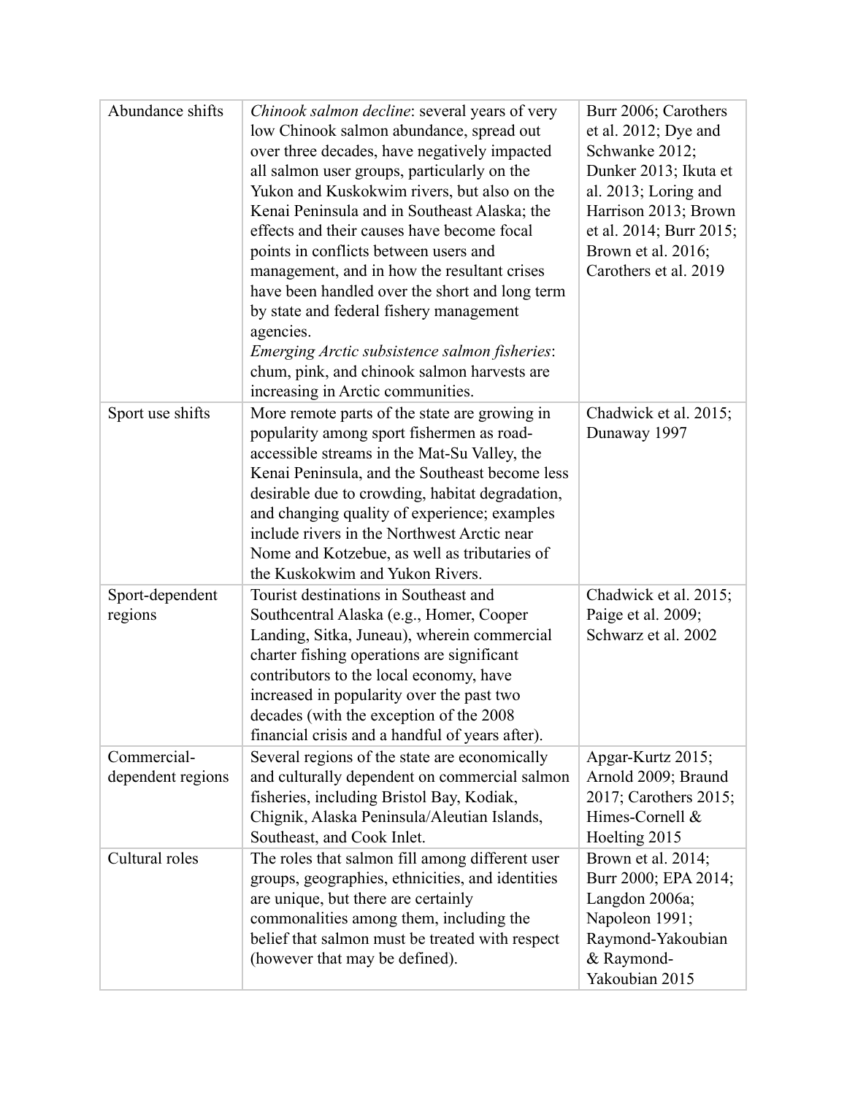| Abundance shifts                 | Chinook salmon decline: several years of very<br>low Chinook salmon abundance, spread out<br>over three decades, have negatively impacted<br>all salmon user groups, particularly on the<br>Yukon and Kuskokwim rivers, but also on the<br>Kenai Peninsula and in Southeast Alaska; the<br>effects and their causes have become focal<br>points in conflicts between users and<br>management, and in how the resultant crises<br>have been handled over the short and long term<br>by state and federal fishery management<br>agencies.<br>Emerging Arctic subsistence salmon fisheries:<br>chum, pink, and chinook salmon harvests are<br>increasing in Arctic communities. | Burr 2006; Carothers<br>et al. $2012$ ; Dye and<br>Schwanke 2012;<br>Dunker 2013; Ikuta et<br>al. 2013; Loring and<br>Harrison 2013; Brown<br>et al. 2014; Burr 2015;<br>Brown et al. 2016;<br>Carothers et al. 2019 |
|----------------------------------|------------------------------------------------------------------------------------------------------------------------------------------------------------------------------------------------------------------------------------------------------------------------------------------------------------------------------------------------------------------------------------------------------------------------------------------------------------------------------------------------------------------------------------------------------------------------------------------------------------------------------------------------------------------------------|----------------------------------------------------------------------------------------------------------------------------------------------------------------------------------------------------------------------|
| Sport use shifts                 | More remote parts of the state are growing in<br>popularity among sport fishermen as road-<br>accessible streams in the Mat-Su Valley, the<br>Kenai Peninsula, and the Southeast become less<br>desirable due to crowding, habitat degradation,<br>and changing quality of experience; examples<br>include rivers in the Northwest Arctic near<br>Nome and Kotzebue, as well as tributaries of<br>the Kuskokwim and Yukon Rivers.                                                                                                                                                                                                                                            | Chadwick et al. 2015;<br>Dunaway 1997                                                                                                                                                                                |
| Sport-dependent<br>regions       | Tourist destinations in Southeast and<br>Southcentral Alaska (e.g., Homer, Cooper                                                                                                                                                                                                                                                                                                                                                                                                                                                                                                                                                                                            | Chadwick et al. 2015;<br>Paige et al. 2009;                                                                                                                                                                          |
|                                  | Landing, Sitka, Juneau), wherein commercial<br>charter fishing operations are significant<br>contributors to the local economy, have<br>increased in popularity over the past two<br>decades (with the exception of the 2008)<br>financial crisis and a handful of years after).                                                                                                                                                                                                                                                                                                                                                                                             | Schwarz et al. 2002                                                                                                                                                                                                  |
| Commercial-<br>dependent regions | Several regions of the state are economically<br>and culturally dependent on commercial salmon                                                                                                                                                                                                                                                                                                                                                                                                                                                                                                                                                                               | Apgar-Kurtz 2015;<br>Arnold 2009; Braund                                                                                                                                                                             |
|                                  | fisheries, including Bristol Bay, Kodiak,<br>Chignik, Alaska Peninsula/Aleutian Islands,<br>Southeast, and Cook Inlet.                                                                                                                                                                                                                                                                                                                                                                                                                                                                                                                                                       | 2017; Carothers 2015;<br>Himes-Cornell &<br>Hoelting 2015                                                                                                                                                            |
| Cultural roles                   | The roles that salmon fill among different user<br>groups, geographies, ethnicities, and identities<br>are unique, but there are certainly<br>commonalities among them, including the<br>belief that salmon must be treated with respect<br>(however that may be defined).                                                                                                                                                                                                                                                                                                                                                                                                   | Brown et al. 2014;<br>Burr 2000; EPA 2014;<br>Langdon 2006a;<br>Napoleon 1991;<br>Raymond-Yakoubian<br>& Raymond-<br>Yakoubian 2015                                                                                  |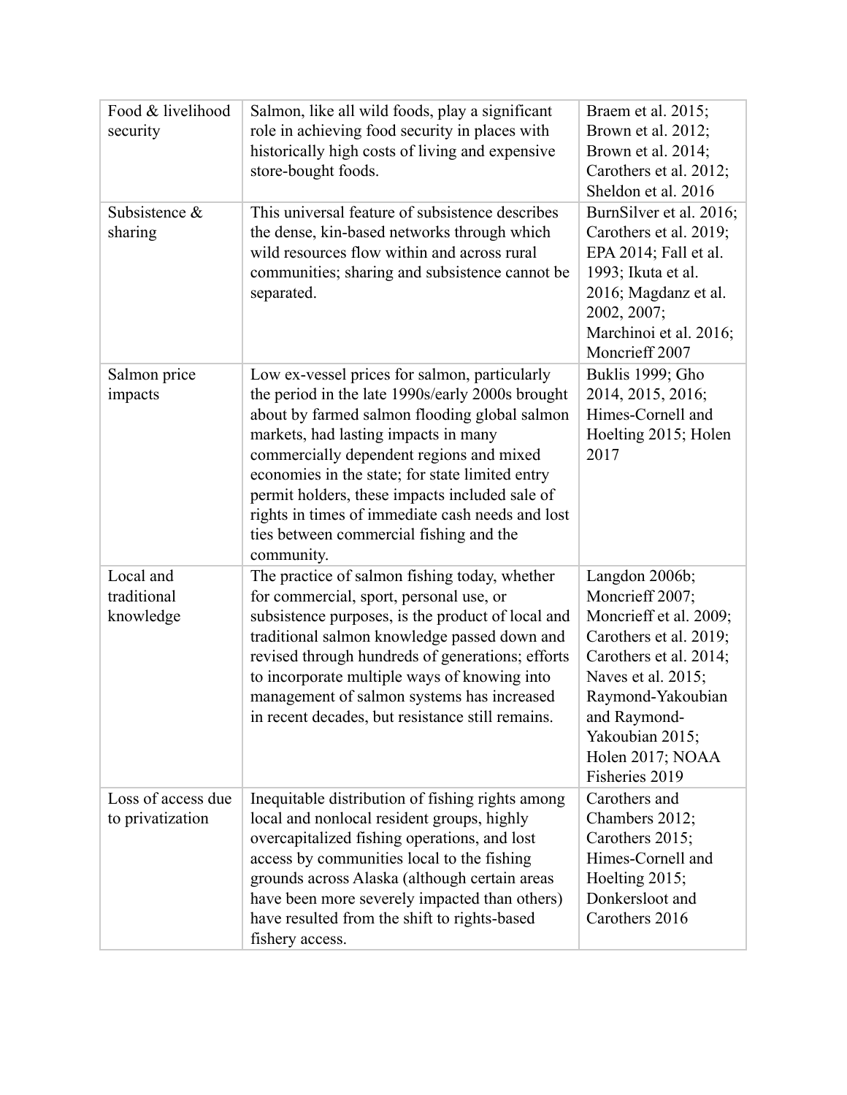| Food & livelihood<br>security          | Salmon, like all wild foods, play a significant<br>role in achieving food security in places with<br>historically high costs of living and expensive<br>store-bought foods.                                                                                                                                                                                                                                                                              | Braem et al. 2015;<br>Brown et al. 2012;<br>Brown et al. 2014;<br>Carothers et al. 2012;<br>Sheldon et al. 2016                                                                                                                     |
|----------------------------------------|----------------------------------------------------------------------------------------------------------------------------------------------------------------------------------------------------------------------------------------------------------------------------------------------------------------------------------------------------------------------------------------------------------------------------------------------------------|-------------------------------------------------------------------------------------------------------------------------------------------------------------------------------------------------------------------------------------|
| Subsistence $\&$<br>sharing            | This universal feature of subsistence describes<br>the dense, kin-based networks through which<br>wild resources flow within and across rural<br>communities; sharing and subsistence cannot be<br>separated.                                                                                                                                                                                                                                            | BurnSilver et al. 2016;<br>Carothers et al. 2019;<br>EPA 2014; Fall et al.<br>1993; Ikuta et al.<br>2016; Magdanz et al.<br>2002, 2007;<br>Marchinoi et al. 2016;<br>Moncrieff 2007                                                 |
| Salmon price<br>impacts                | Low ex-vessel prices for salmon, particularly<br>the period in the late 1990s/early 2000s brought<br>about by farmed salmon flooding global salmon<br>markets, had lasting impacts in many<br>commercially dependent regions and mixed<br>economies in the state; for state limited entry<br>permit holders, these impacts included sale of<br>rights in times of immediate cash needs and lost<br>ties between commercial fishing and the<br>community. | Buklis 1999; Gho<br>2014, 2015, 2016;<br>Himes-Cornell and<br>Hoelting 2015; Holen<br>2017                                                                                                                                          |
| Local and<br>traditional<br>knowledge  | The practice of salmon fishing today, whether<br>for commercial, sport, personal use, or<br>subsistence purposes, is the product of local and<br>traditional salmon knowledge passed down and<br>revised through hundreds of generations; efforts<br>to incorporate multiple ways of knowing into<br>management of salmon systems has increased<br>in recent decades, but resistance still remains.                                                      | Langdon 2006b;<br>Moncrieff 2007;<br>Moncrieff et al. 2009;<br>Carothers et al. 2019;<br>Carothers et al. 2014;<br>Naves et al. 2015;<br>Raymond-Yakoubian<br>and Raymond-<br>Yakoubian 2015;<br>Holen 2017; NOAA<br>Fisheries 2019 |
| Loss of access due<br>to privatization | Inequitable distribution of fishing rights among<br>local and nonlocal resident groups, highly<br>overcapitalized fishing operations, and lost<br>access by communities local to the fishing<br>grounds across Alaska (although certain areas<br>have been more severely impacted than others)<br>have resulted from the shift to rights-based<br>fishery access.                                                                                        | Carothers and<br>Chambers 2012;<br>Carothers 2015;<br>Himes-Cornell and<br>Hoelting 2015;<br>Donkersloot and<br>Carothers 2016                                                                                                      |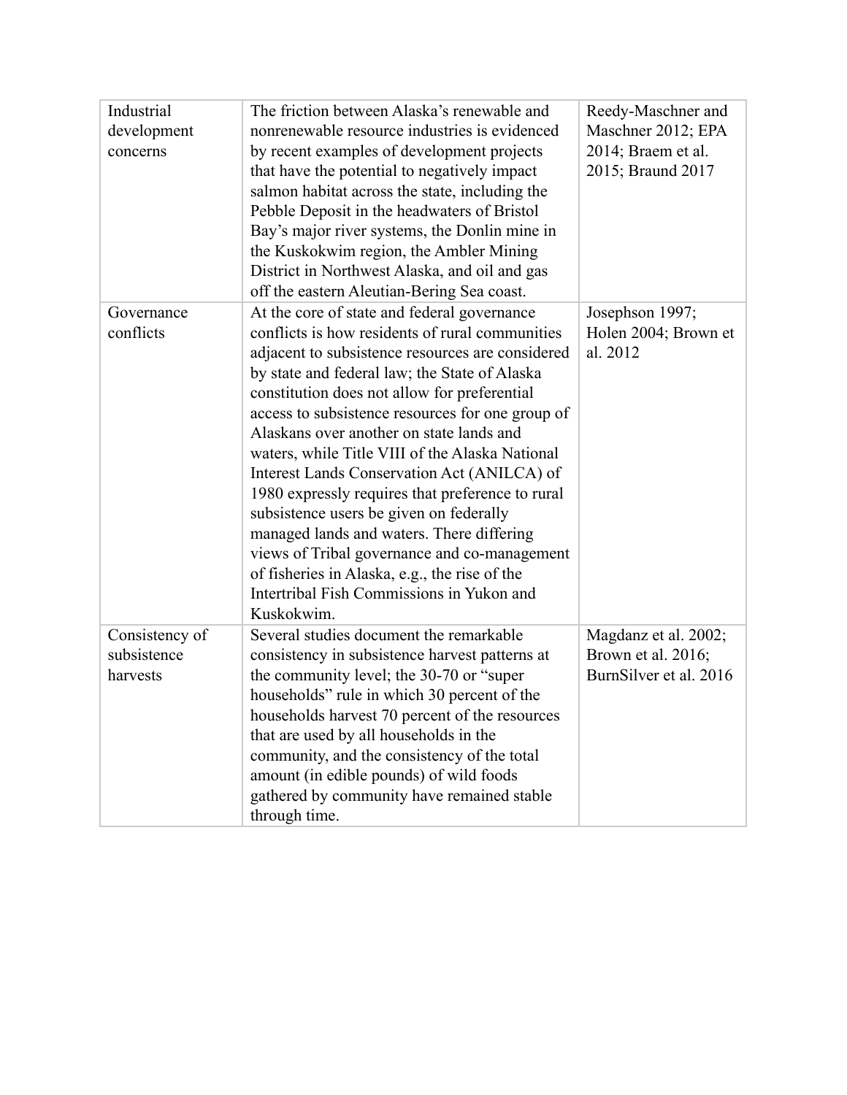| Industrial<br>development<br>concerns     | The friction between Alaska's renewable and<br>nonrenewable resource industries is evidenced<br>by recent examples of development projects<br>that have the potential to negatively impact<br>salmon habitat across the state, including the<br>Pebble Deposit in the headwaters of Bristol<br>Bay's major river systems, the Donlin mine in<br>the Kuskokwim region, the Ambler Mining<br>District in Northwest Alaska, and oil and gas<br>off the eastern Aleutian-Bering Sea coast.                                                                                                                                                                                                                                                                        | Reedy-Maschner and<br>Maschner 2012; EPA<br>2014; Braem et al.<br>2015; Braund 2017 |
|-------------------------------------------|---------------------------------------------------------------------------------------------------------------------------------------------------------------------------------------------------------------------------------------------------------------------------------------------------------------------------------------------------------------------------------------------------------------------------------------------------------------------------------------------------------------------------------------------------------------------------------------------------------------------------------------------------------------------------------------------------------------------------------------------------------------|-------------------------------------------------------------------------------------|
| Governance<br>conflicts                   | At the core of state and federal governance<br>conflicts is how residents of rural communities<br>adjacent to subsistence resources are considered<br>by state and federal law; the State of Alaska<br>constitution does not allow for preferential<br>access to subsistence resources for one group of<br>Alaskans over another on state lands and<br>waters, while Title VIII of the Alaska National<br>Interest Lands Conservation Act (ANILCA) of<br>1980 expressly requires that preference to rural<br>subsistence users be given on federally<br>managed lands and waters. There differing<br>views of Tribal governance and co-management<br>of fisheries in Alaska, e.g., the rise of the<br>Intertribal Fish Commissions in Yukon and<br>Kuskokwim. | Josephson 1997;<br>Holen 2004; Brown et<br>al. 2012                                 |
| Consistency of<br>subsistence<br>harvests | Several studies document the remarkable<br>consistency in subsistence harvest patterns at<br>the community level; the 30-70 or "super<br>households" rule in which 30 percent of the<br>households harvest 70 percent of the resources<br>that are used by all households in the<br>community, and the consistency of the total<br>amount (in edible pounds) of wild foods<br>gathered by community have remained stable<br>through time.                                                                                                                                                                                                                                                                                                                     | Magdanz et al. 2002;<br>Brown et al. 2016;<br>BurnSilver et al. 2016                |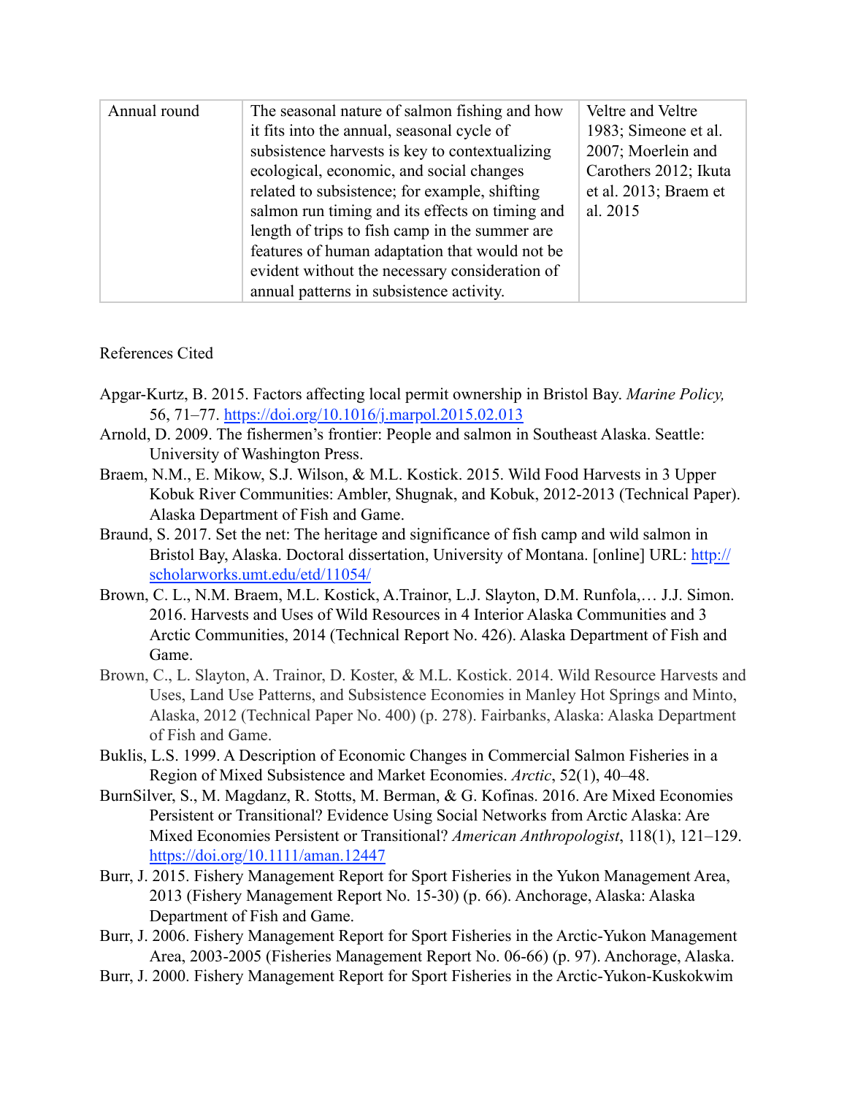| features of human adaptation that would not be<br>evident without the necessary consideration of<br>annual patterns in subsistence activity. | Annual round | The seasonal nature of salmon fishing and how<br>it fits into the annual, seasonal cycle of<br>subsistence harvests is key to contextualizing<br>ecological, economic, and social changes<br>related to subsistence; for example, shifting<br>salmon run timing and its effects on timing and<br>length of trips to fish camp in the summer are | Veltre and Veltre<br>1983; Simeone et al.<br>2007; Moerlein and<br>Carothers 2012; Ikuta<br>et al. 2013; Braem et<br>al. 2015 |
|----------------------------------------------------------------------------------------------------------------------------------------------|--------------|-------------------------------------------------------------------------------------------------------------------------------------------------------------------------------------------------------------------------------------------------------------------------------------------------------------------------------------------------|-------------------------------------------------------------------------------------------------------------------------------|
|----------------------------------------------------------------------------------------------------------------------------------------------|--------------|-------------------------------------------------------------------------------------------------------------------------------------------------------------------------------------------------------------------------------------------------------------------------------------------------------------------------------------------------|-------------------------------------------------------------------------------------------------------------------------------|

# References Cited

- Apgar-Kurtz, B. 2015. Factors affecting local permit ownership in Bristol Bay. *Marine Policy,* 56, 71–77. https://doi.org/10.1016/j.marpol.2015.02.013
- Arnold, D. 2009. The fishermen's frontier: People and salmon in Southeast Alaska. Seattle: University of Washington Press.
- Braem, N.M., E. Mikow, S.J. Wilson, & M.L. Kostick. 2015. Wild Food Harvests in 3 Upper Kobuk River Communities: Ambler, Shugnak, and Kobuk, 2012-2013 (Technical Paper). Alaska Department of Fish and Game.
- Braund, S. 2017. Set the net: The heritage and significance of fish camp and wild salmon in Bristol Bay, Alaska. Doctoral dissertation, University of Montana. [online] URL: http:// scholarworks.umt.edu/etd/11054/
- Brown, C. L., N.M. Braem, M.L. Kostick, A.Trainor, L.J. Slayton, D.M. Runfola,… J.J. Simon. 2016. Harvests and Uses of Wild Resources in 4 Interior Alaska Communities and 3 Arctic Communities, 2014 (Technical Report No. 426). Alaska Department of Fish and Game.
- Brown, C., L. Slayton, A. Trainor, D. Koster, & M.L. Kostick. 2014. Wild Resource Harvests and Uses, Land Use Patterns, and Subsistence Economies in Manley Hot Springs and Minto, Alaska, 2012 (Technical Paper No. 400) (p. 278). Fairbanks, Alaska: Alaska Department of Fish and Game.
- Buklis, L.S. 1999. A Description of Economic Changes in Commercial Salmon Fisheries in a Region of Mixed Subsistence and Market Economies. *Arctic*, 52(1), 40–48.
- BurnSilver, S., M. Magdanz, R. Stotts, M. Berman, & G. Kofinas. 2016. Are Mixed Economies Persistent or Transitional? Evidence Using Social Networks from Arctic Alaska: Are Mixed Economies Persistent or Transitional? *American Anthropologist*, 118(1), 121–129. https://doi.org/10.1111/aman.12447
- Burr, J. 2015. Fishery Management Report for Sport Fisheries in the Yukon Management Area, 2013 (Fishery Management Report No. 15-30) (p. 66). Anchorage, Alaska: Alaska Department of Fish and Game.
- Burr, J. 2006. Fishery Management Report for Sport Fisheries in the Arctic-Yukon Management Area, 2003-2005 (Fisheries Management Report No. 06-66) (p. 97). Anchorage, Alaska.
- Burr, J. 2000. Fishery Management Report for Sport Fisheries in the Arctic-Yukon-Kuskokwim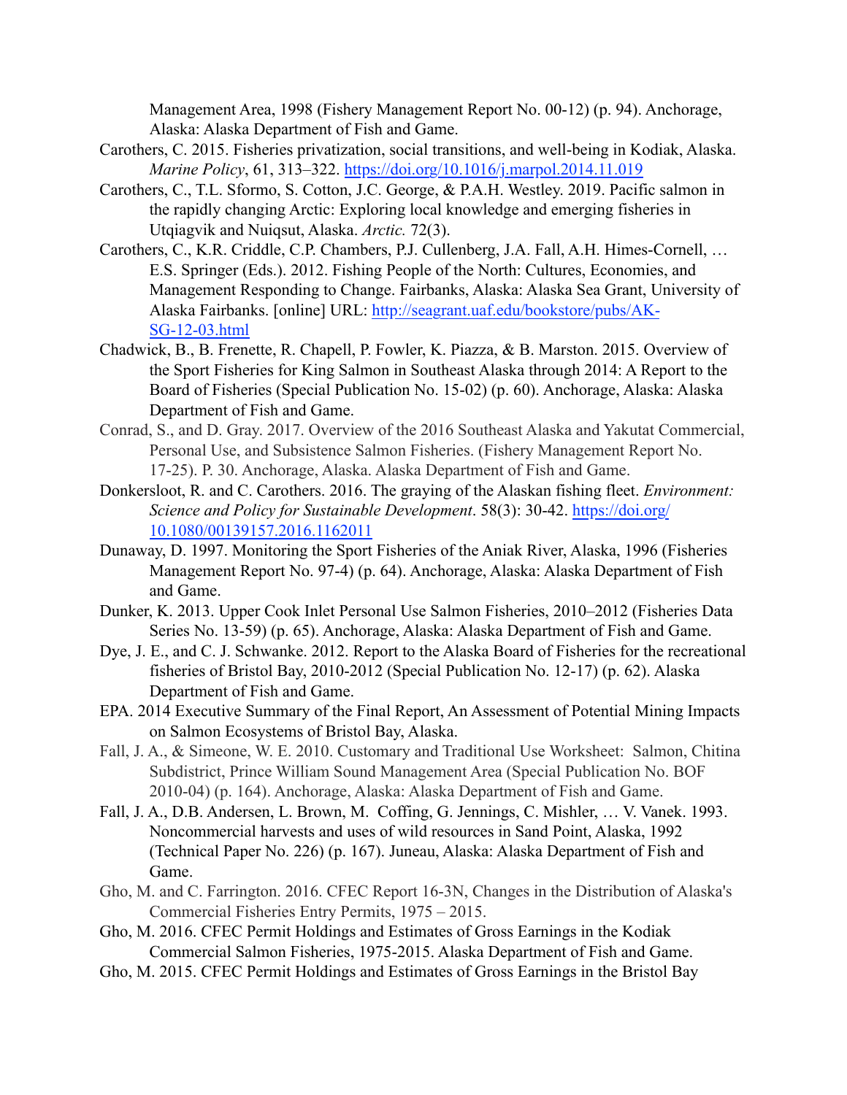Management Area, 1998 (Fishery Management Report No. 00-12) (p. 94). Anchorage, Alaska: Alaska Department of Fish and Game.

- Carothers, C. 2015. Fisheries privatization, social transitions, and well-being in Kodiak, Alaska. *Marine Policy*, 61, 313–322. https://doi.org/10.1016/j.marpol.2014.11.019
- Carothers, C., T.L. Sformo, S. Cotton, J.C. George, & P.A.H. Westley. 2019. Pacific salmon in the rapidly changing Arctic: Exploring local knowledge and emerging fisheries in Utqiagvik and Nuiqsut, Alaska. *Arctic.* 72(3).
- Carothers, C., K.R. Criddle, C.P. Chambers, P.J. Cullenberg, J.A. Fall, A.H. Himes-Cornell, … E.S. Springer (Eds.). 2012. Fishing People of the North: Cultures, Economies, and Management Responding to Change. Fairbanks, Alaska: Alaska Sea Grant, University of Alaska Fairbanks. [online] URL: http://seagrant.uaf.edu/bookstore/pubs/AK-SG-12-03.html
- Chadwick, B., B. Frenette, R. Chapell, P. Fowler, K. Piazza, & B. Marston. 2015. Overview of the Sport Fisheries for King Salmon in Southeast Alaska through 2014: A Report to the Board of Fisheries (Special Publication No. 15-02) (p. 60). Anchorage, Alaska: Alaska Department of Fish and Game.
- Conrad, S., and D. Gray. 2017. Overview of the 2016 Southeast Alaska and Yakutat Commercial, Personal Use, and Subsistence Salmon Fisheries. (Fishery Management Report No. 17-25). P. 30. Anchorage, Alaska. Alaska Department of Fish and Game.
- Donkersloot, R. and C. Carothers. 2016. The graying of the Alaskan fishing fleet. *Environment: Science and Policy for Sustainable Development*. 58(3): 30-42. https://doi.org/ 10.1080/00139157.2016.1162011
- Dunaway, D. 1997. Monitoring the Sport Fisheries of the Aniak River, Alaska, 1996 (Fisheries Management Report No. 97-4) (p. 64). Anchorage, Alaska: Alaska Department of Fish and Game.
- Dunker, K. 2013. Upper Cook Inlet Personal Use Salmon Fisheries, 2010–2012 (Fisheries Data Series No. 13-59) (p. 65). Anchorage, Alaska: Alaska Department of Fish and Game.
- Dye, J. E., and C. J. Schwanke. 2012. Report to the Alaska Board of Fisheries for the recreational fisheries of Bristol Bay, 2010-2012 (Special Publication No. 12-17) (p. 62). Alaska Department of Fish and Game.
- EPA. 2014 Executive Summary of the Final Report, An Assessment of Potential Mining Impacts on Salmon Ecosystems of Bristol Bay, Alaska.
- Fall, J. A., & Simeone, W. E. 2010. Customary and Traditional Use Worksheet: Salmon, Chitina Subdistrict, Prince William Sound Management Area (Special Publication No. BOF 2010-04) (p. 164). Anchorage, Alaska: Alaska Department of Fish and Game.
- Fall, J. A., D.B. Andersen, L. Brown, M. Coffing, G. Jennings, C. Mishler, … V. Vanek. 1993. Noncommercial harvests and uses of wild resources in Sand Point, Alaska, 1992 (Technical Paper No. 226) (p. 167). Juneau, Alaska: Alaska Department of Fish and Game.
- Gho, M. and C. Farrington. 2016. CFEC Report 16-3N, Changes in the Distribution of Alaska's Commercial Fisheries Entry Permits, 1975 – 2015.
- Gho, M. 2016. CFEC Permit Holdings and Estimates of Gross Earnings in the Kodiak Commercial Salmon Fisheries, 1975-2015. Alaska Department of Fish and Game.
- Gho, M. 2015. CFEC Permit Holdings and Estimates of Gross Earnings in the Bristol Bay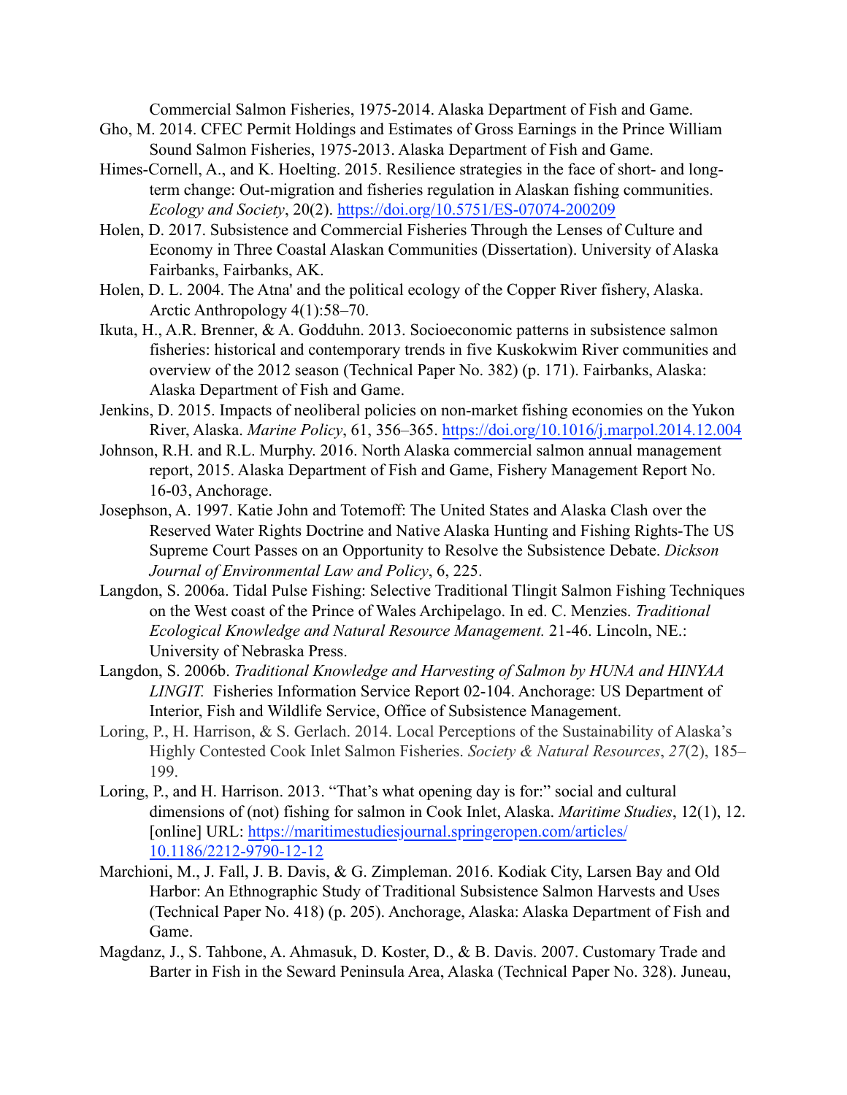Commercial Salmon Fisheries, 1975-2014. Alaska Department of Fish and Game.

- Gho, M. 2014. CFEC Permit Holdings and Estimates of Gross Earnings in the Prince William Sound Salmon Fisheries, 1975-2013. Alaska Department of Fish and Game.
- Himes-Cornell, A., and K. Hoelting. 2015. Resilience strategies in the face of short- and longterm change: Out-migration and fisheries regulation in Alaskan fishing communities. *Ecology and Society*, 20(2). https://doi.org/10.5751/ES-07074-200209
- Holen, D. 2017. Subsistence and Commercial Fisheries Through the Lenses of Culture and Economy in Three Coastal Alaskan Communities (Dissertation). University of Alaska Fairbanks, Fairbanks, AK.
- Holen, D. L. 2004. The Atna' and the political ecology of the Copper River fishery, Alaska. Arctic Anthropology 4(1):58–70.
- Ikuta, H., A.R. Brenner, & A. Godduhn. 2013. Socioeconomic patterns in subsistence salmon fisheries: historical and contemporary trends in five Kuskokwim River communities and overview of the 2012 season (Technical Paper No. 382) (p. 171). Fairbanks, Alaska: Alaska Department of Fish and Game.
- Jenkins, D. 2015. Impacts of neoliberal policies on non-market fishing economies on the Yukon River, Alaska. *Marine Policy*, 61, 356–365. https://doi.org/10.1016/j.marpol.2014.12.004
- Johnson, R.H. and R.L. Murphy. 2016. North Alaska commercial salmon annual management report, 2015. Alaska Department of Fish and Game, Fishery Management Report No. 16-03, Anchorage.
- Josephson, A. 1997. Katie John and Totemoff: The United States and Alaska Clash over the Reserved Water Rights Doctrine and Native Alaska Hunting and Fishing Rights-The US Supreme Court Passes on an Opportunity to Resolve the Subsistence Debate. *Dickson Journal of Environmental Law and Policy*, 6, 225.
- Langdon, S. 2006a. Tidal Pulse Fishing: Selective Traditional Tlingit Salmon Fishing Techniques on the West coast of the Prince of Wales Archipelago. In ed. C. Menzies. *Traditional Ecological Knowledge and Natural Resource Management.* 21-46. Lincoln, NE.: University of Nebraska Press.
- Langdon, S. 2006b. *Traditional Knowledge and Harvesting of Salmon by HUNA and HINYAA LINGIT.* Fisheries Information Service Report 02-104. Anchorage: US Department of Interior, Fish and Wildlife Service, Office of Subsistence Management.
- Loring, P., H. Harrison, & S. Gerlach. 2014. Local Perceptions of the Sustainability of Alaska's Highly Contested Cook Inlet Salmon Fisheries. *Society & Natural Resources*, *27*(2), 185– 199.
- Loring, P., and H. Harrison. 2013. "That's what opening day is for:" social and cultural dimensions of (not) fishing for salmon in Cook Inlet, Alaska. *Maritime Studies*, 12(1), 12. [online] URL: https://maritimestudiesjournal.springeropen.com/articles/ 10.1186/2212-9790-12-12
- Marchioni, M., J. Fall, J. B. Davis, & G. Zimpleman. 2016. Kodiak City, Larsen Bay and Old Harbor: An Ethnographic Study of Traditional Subsistence Salmon Harvests and Uses (Technical Paper No. 418) (p. 205). Anchorage, Alaska: Alaska Department of Fish and Game.
- Magdanz, J., S. Tahbone, A. Ahmasuk, D. Koster, D., & B. Davis. 2007. Customary Trade and Barter in Fish in the Seward Peninsula Area, Alaska (Technical Paper No. 328). Juneau,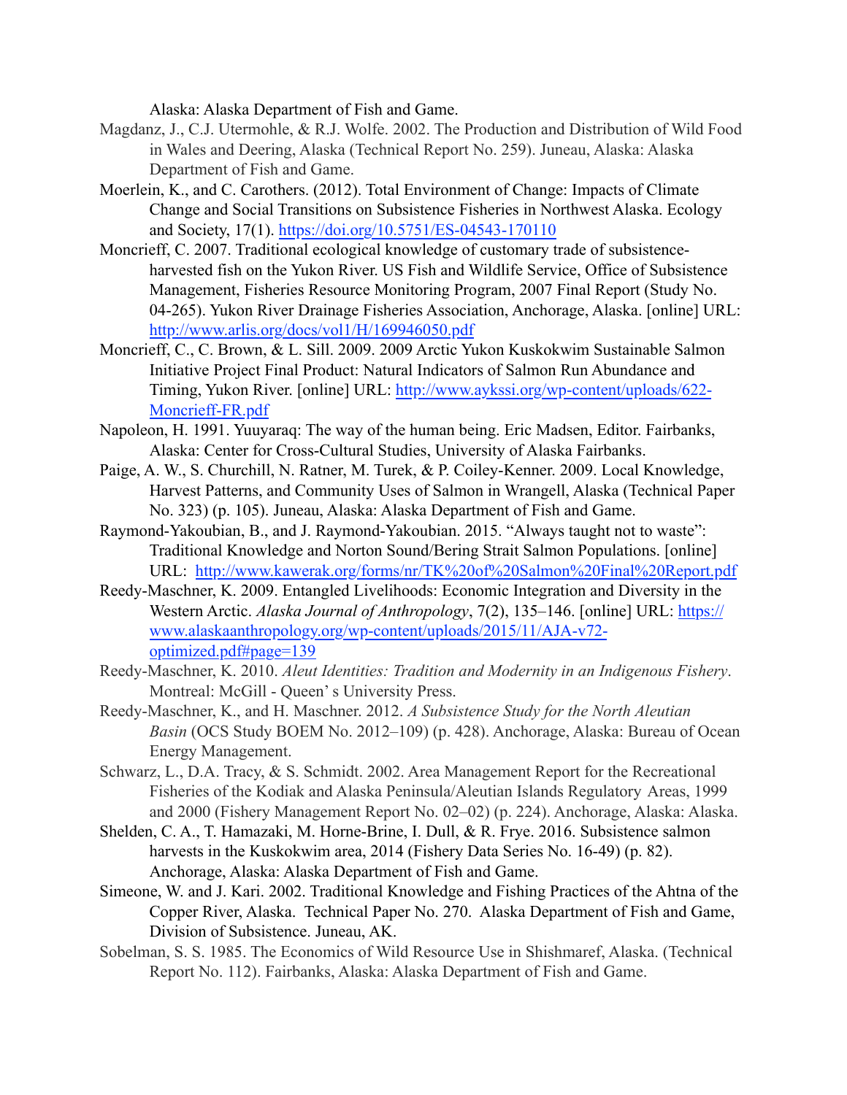Alaska: Alaska Department of Fish and Game.

- Magdanz, J., C.J. Utermohle, & R.J. Wolfe. 2002. The Production and Distribution of Wild Food in Wales and Deering, Alaska (Technical Report No. 259). Juneau, Alaska: Alaska Department of Fish and Game.
- Moerlein, K., and C. Carothers. (2012). Total Environment of Change: Impacts of Climate Change and Social Transitions on Subsistence Fisheries in Northwest Alaska. Ecology and Society, 17(1). https://doi.org/10.5751/ES-04543-170110
- Moncrieff, C. 2007. Traditional ecological knowledge of customary trade of subsistenceharvested fish on the Yukon River. US Fish and Wildlife Service, Office of Subsistence Management, Fisheries Resource Monitoring Program, 2007 Final Report (Study No. 04-265). Yukon River Drainage Fisheries Association, Anchorage, Alaska. [online] URL: http://www.arlis.org/docs/vol1/H/169946050.pdf
- Moncrieff, C., C. Brown, & L. Sill. 2009. 2009 Arctic Yukon Kuskokwim Sustainable Salmon Initiative Project Final Product: Natural Indicators of Salmon Run Abundance and Timing, Yukon River. [online] URL: http://www.aykssi.org/wp-content/uploads/622- Moncrieff-FR.pdf
- Napoleon, H. 1991. Yuuyaraq: The way of the human being. Eric Madsen, Editor. Fairbanks, Alaska: Center for Cross-Cultural Studies, University of Alaska Fairbanks.
- Paige, A. W., S. Churchill, N. Ratner, M. Turek, & P. Coiley-Kenner. 2009. Local Knowledge, Harvest Patterns, and Community Uses of Salmon in Wrangell, Alaska (Technical Paper No. 323) (p. 105). Juneau, Alaska: Alaska Department of Fish and Game.
- Raymond-Yakoubian, B., and J. Raymond-Yakoubian. 2015. "Always taught not to waste": Traditional Knowledge and Norton Sound/Bering Strait Salmon Populations. [online] URL: http://www.kawerak.org/forms/nr/TK%20of%20Salmon%20Final%20Report.pdf
- Reedy-Maschner, K. 2009. Entangled Livelihoods: Economic Integration and Diversity in the Western Arctic. *Alaska Journal of Anthropology*, 7(2), 135–146. [online] URL: https:// www.alaskaanthropology.org/wp-content/uploads/2015/11/AJA-v72 optimized.pdf#page=139
- Reedy-Maschner, K. 2010. *Aleut Identities: Tradition and Modernity in an Indigenous Fishery*. Montreal: McGill - Queen' s University Press.
- Reedy-Maschner, K., and H. Maschner. 2012. *A Subsistence Study for the North Aleutian Basin* (OCS Study BOEM No. 2012–109) (p. 428). Anchorage, Alaska: Bureau of Ocean Energy Management.
- Schwarz, L., D.A. Tracy, & S. Schmidt. 2002. Area Management Report for the Recreational Fisheries of the Kodiak and Alaska Peninsula/Aleutian Islands Regulatory Areas, 1999 and 2000 (Fishery Management Report No. 02–02) (p. 224). Anchorage, Alaska: Alaska.
- Shelden, C. A., T. Hamazaki, M. Horne-Brine, I. Dull, & R. Frye. 2016. Subsistence salmon harvests in the Kuskokwim area, 2014 (Fishery Data Series No. 16-49) (p. 82). Anchorage, Alaska: Alaska Department of Fish and Game.
- Simeone, W. and J. Kari. 2002. Traditional Knowledge and Fishing Practices of the Ahtna of the Copper River, Alaska. Technical Paper No. 270. Alaska Department of Fish and Game, Division of Subsistence. Juneau, AK.
- Sobelman, S. S. 1985. The Economics of Wild Resource Use in Shishmaref, Alaska. (Technical Report No. 112). Fairbanks, Alaska: Alaska Department of Fish and Game.